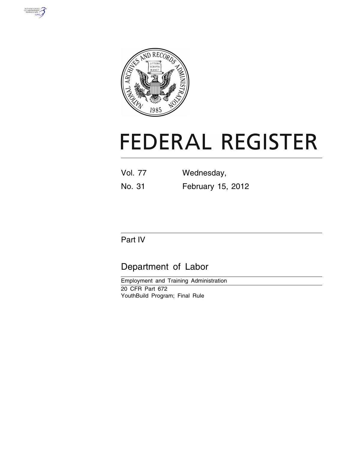



# **FEDERAL REGISTER**

| <b>Vol. 77</b> | Wednesday,        |
|----------------|-------------------|
| No. 31         | February 15, 2012 |

# Part IV

# Department of Labor

Employment and Training Administration 20 CFR Part 672 YouthBuild Program; Final Rule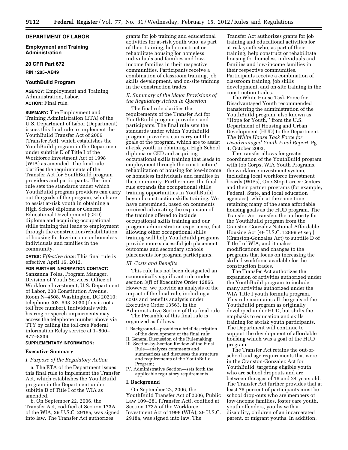#### **DEPARTMENT OF LABOR**

**Employment and Training Administration** 

#### **20 CFR Part 672**

**RIN 1205–AB49** 

#### **YouthBuild Program**

**AGENCY:** Employment and Training Administration, Labor. **ACTION:** Final rule.

**SUMMARY:** The Employment and Training Administration (ETA) of the U.S. Department of Labor (Department) issues this final rule to implement the YouthBuild Transfer Act of 2006 (Transfer Act), which establishes the YouthBuild program in the Department under subtitle D of Title I of the Workforce Investment Act of 1998 (WIA) as amended. The final rule clarifies the requirements of the Transfer Act for YouthBuild program providers and participants. The final rule sets the standards under which YouthBuild program providers can carry out the goals of the program, which are to assist at-risk youth in obtaining a High School diploma or General Educational Development (GED) diploma and acquiring occupational skills training that leads to employment through the construction/rehabilitation of housing for low-income or homeless individuals and families in the community.

**DATES:** *Effective date:* This final rule is effective April 16, 2012.

## **FOR FURTHER INFORMATION CONTACT:**

Sanzanna Toles, Program Manager, Division of Youth Services, Office of Workforce Investment, U.S. Department of Labor, 200 Constitution Avenue, Room N–4508, Washington, DC 20210; telephone 202–693–3030 (this is not a toll free number). Individuals with hearing or speech impairments may access the telephone number above via TTY by calling the toll-free Federal information Relay service at 1–800– 877–8339.

#### **SUPPLEMENTARY INFORMATION:**

#### **Executive Summary**

#### *I. Purpose of the Regulatory Action*

a. The ETA of the Department issues this final rule to implement the Transfer Act, which establishes the YouthBuild program in the Department under subtitle D of Title I of the WIA as amended.

b. On September 22, 2006, the Transfer Act, codified at Section 173A of the WIA, 29 U.S.C. 2918a, was signed into law. The Transfer Act authorizes

grants for job training and educational activities for at-risk youth who, as part of their training, help construct or rehabilitate housing for homeless individuals and families and lowincome families in their respective communities. Participants receive a combination of classroom training, job skills development, and on-site training in the construction trades.

#### *II. Summary of the Major Provisions of the Regulatory Action In Question*

The final rule clarifies the requirements of the Transfer Act for YouthBuild program providers and participants. The final rule sets the standards under which YouthBuild program providers can carry out the goals of the program, which are to assist at-risk youth in obtaining a High School diploma or GED and acquiring occupational skills training that leads to employment through the construction/ rehabilitation of housing for low-income or homeless individuals and families in the community. Furthermore, the final rule expands the occupational skills training opportunities in YouthBuild beyond construction skills training. We have determined, based on comments received advocating the expansion of the training offered to include occupational skills training and our program administration experience, that allowing other occupational skills training will help YouthBuild programs provide more successful job placement outcomes and secondary schools placements for program participants.

#### *III. Costs and Benefits*

This rule has not been designated an economically significant rule under section 3(f) of Executive Order 12866. However, we provide an analysis of the impact of the final rule, including a costs and benefits analysis under Executive Order 13563, in the Administrative Section of this final rule.

The Preamble of this final rule is organized as follows:

# I. Background—provides a brief description

- of the development of the final rule; II. General Discussion of the Rulemaking;
- III. Section-by-Section Review of the Final
- Rule—analyzes comments and summarizes and discusses the structure and requirements of the YouthBuild Program;
- IV. Administrative Section—sets forth the applicable regulatory requirements.

#### **I. Background**

On September 22, 2006, the YouthBuild Transfer Act of 2006, Public Law 109–281 (Transfer Act), codified at Section 173A of the Workforce Investment Act of 1998 (WIA), 29 U.S.C. 2918a, was signed into law. The

Transfer Act authorizes grants for job training and educational activities for at-risk youth who, as part of their training, help construct or rehabilitate housing for homeless individuals and families and low-income families in their respective communities. Participants receive a combination of classroom training, job skills development, and on-site training in the construction trades.

The White House Task Force for Disadvantaged Youth recommended transferring the administration of the YouthBuild program, also known as ''Hope for Youth,'' from the U.S. Department of Housing and Urban Development (HUD) to the Department. *The White House Task Force for Disadvantaged Youth Final Report.* Pg. 4, October 2003.

The transfer allows for greater coordination of the YouthBuild program with Job Corps, WIA Youth Programs, the workforce investment system, including local workforce investment boards (WIBs), One-Stop Career Centers, and their partner programs (for example, Federal, State, and local education agencies), while at the same time retaining many of the same affordable housing goals as the HUD program. The Transfer Act transfers the authority for the YouthBuild program from the Cranston-Gonzalez National Affordable Housing Act (49 U.S.C. 12899 *et seq.*) (Cranston-Gonzales Act) to subtitle D of Title I of WIA, and it makes modifications and changes to the programs that focus on increasing the skilled workforce available for the construction trades.

The Transfer Act authorizes the expansion of activities authorized under the YouthBuild program to include many activities authorized under the WIA Title I youth formula program. This rule maintains all the goals of the YouthBuild program as originally developed under HUD, but shifts the emphasis to education and skills training for at-risk youth participants. The Department will continue to support the development of affordable housing which was a goal of the HUD program.

The Transfer Act retains the out-ofschool and age requirements that were in the Cranston-Gonzalez Act for YouthBuild, targeting eligible youth who are school dropouts and are between the ages of 16 and 24 years old. The Transfer Act further provides that at least 75 percent of participants must be school drop-outs who are members of low-income families, foster care youth, youth offenders, youths with a disability, children of an incarcerated parent, or migrant youths. In addition,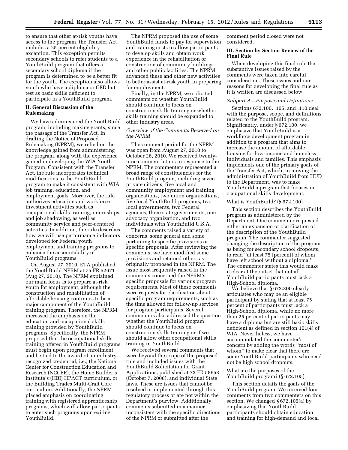to ensure that other at-risk youths have access to the program, the Transfer Act includes a 25 percent eligibility exception. This exception permits secondary schools to refer students to a YouthBuild program that offers a secondary school diploma if the program is determined to be a better fit for the youth. The exception also allows youth who have a diploma or GED but test as basic skills deficient to participate in a YouthBuild program.

#### **II. General Discussion of the Rulemaking**

We have administered the YouthBuild program, including making grants, since the passage of the Transfer Act. In drafting the Notice of Proposed Rulemaking (NPRM), we relied on the knowledge gained from administering the program, along with the experience gained in developing the WIA Youth Program. Consistent with the Transfer Act, the rule incorporates technical modifications to the YouthBuild program to make it consistent with WIA job training, education, and employment goals. Moreover, the rule authorizes education and workforce investment activities such as occupational skills training, internships, and job shadowing, as well as community service and peer-centered activities. In addition, the rule describes how we will use performance indicators developed for Federal youth employment and training programs to enhance the accountability of YouthBuild programs.

On August 27, 2010, ETA published the YouthBuild NPRM at 75 FR 52671 (Aug 27, 2010). The NPRM explained our main focus is to prepare at-risk youth for employment, although the construction and rehabilitation of affordable housing continues to be a major component of the YouthBuild training program. Therefore, the NPRM increased the emphasis on the education and occupational skills training provided by YouthBuild programs. Specifically, the NPRM proposed that the occupational skills training offered in YouthBuild programs must begin upon program enrollment and be tied to the award of an industryrecognized credential; i.e., the National Center for Construction Education and Research (NCCER), the Home Builder's Institute's (HBI) HPACT curriculum, or the Building Trades Multi-Craft Core curriculum. Additionally, the NPRM placed emphasis on coordinating training with registered apprenticeship programs, which will allow participants to enter such programs upon exiting YouthBuild.

The NPRM proposed the use of some YouthBuild funds to pay for supervision and training costs to allow participants to develop skills and obtain work experience in the rehabilitation or construction of community buildings and other public facilities. The NPRM advanced these and other new activities to better assist at-risk youth in preparing for employment.

Finally, in the NPRM, we solicited comments on whether YouthBuild should continue to focus on construction skills training or whether skills training should be expanded to other industry areas.

# *Overview of the Comments Received on the NPRM*

The comment period for the NPRM was open from August 27, 2010 to October 26, 2010. We received twentynine comment letters in response to the NPRM. The commenters represented a broad range of constituencies for the YouthBuild program, including seven private citizens, five local and community employment and training organizations, two union organizations, five local YouthBuild programs, two local governments, two Federal agencies, three state governments, one advocacy organization, and two individuals with YouthBuild U.S.A.

The comments raised a variety of concerns, some general and some pertaining to specific provisions or specific proposals. After reviewing the comments, we have modified some provisions and retained others as originally proposed in the NPRM. The issue most frequently raised in the comments concerned the NPRM's specific proposals for various program requirements. Most of these comments were requests for clarification about specific program requirements, such as the time allowed for follow-up services for program participants. Several commenters also addressed the question whether the YouthBuild program should continue to focus on construction skills training or if we should allow other occupational skills training in YouthBuild.

We received several comments that were beyond the scope of the proposed rule and included issues with the YouthBuild Solicitation for Grant Applications, published at 73 FR 58653 (October 7, 2008), and individual State laws. These are issues that cannot be resolved or implemented through this regulatory process or are not within the Department's purview. Additionally, comments submitted in a manner inconsistent with the specific directions of the NPRM or submitted after the

comment period closed were not considered.

### **III. Section-by-Section Review of the Final Rule**

When developing this final rule the substantive issues raised by the comments were taken into careful consideration. These issues and our reasons for developing the final rule as it is written are discussed below.

#### *Subpart A—Purpose and Definitions*

Sections 672.100, .105, and .110 deal with the purpose, scope, and definitions related to the YouthBuild program. Significantly, under § 672.100, we emphasize that YouthBuild is a workforce development program in addition to a program that aims to increase the amount of affordable housing for low-income and homeless individuals and families. This emphasis implements one of the primary goals of the Transfer Act, which, in moving the administration of YouthBuild from HUD to the Department, was to make YouthBuild a program that focuses on occupational skills development.

#### What is YouthBuild? (§ 672.100)

This section describes the YouthBuild program as administered by the Department. One commenter requested either an expansion or clarification of the description of the YouthBuild program. The commenter suggested changing the description of the program as being for secondary school dropouts, to read ''at least 75 [percent] of whom have left school without a diploma.'' The commenter states this would make it clear at the outset that not all YouthBuild participants must lack a High-School diploma.

We believe that § 672.300 clearly articulates who may be an eligible participant by stating that at least 75 percent of participants must lack a High-School diploma, while no more than 25 percent of participants may have a diploma but are still basic skills deficient as defined in section 101(4) of WIA. Nevertheless, we have accommodated the commenter's concern by adding the words ''most of whom'' to make clear that there are some YouthBuild participants who need not be high school dropouts.

# What are the purposes of the YouthBuild program? (§ 672.105)

This section details the goals of the YouthBuild program. We received four comments from two commenters on this section. We changed § 672.105(a) by emphasizing that YouthBuild participants should obtain education and training for high-demand and local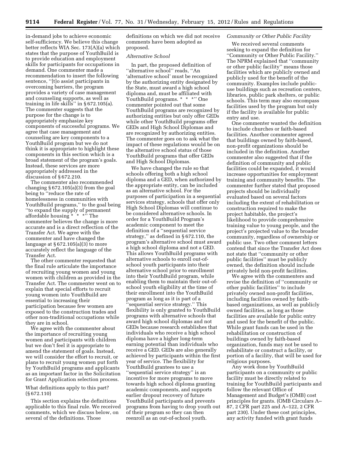in-demand jobs to achieve economic self-sufficiency. We believe this change better reflects WIA Sec. 173(A)(a) which states that the purpose of YouthBuild is to provide education and employment skills for participants for occupations in demand. One commenter made a recommendation to insert the following sentence, ''[t]o assist participants in overcoming barriers, the program provides a variety of case management and counseling supports, as well as training in life skills'' in § 672.105(a). The commenter suggests that the purpose for the change is to appropriately emphasize key components of successful programs. We agree that case management and counseling are key components to a YouthBuild program but we do not think it is appropriate to highlight these components in this section which is a broad statement of the program's goals. Instead, these services are more appropriately addressed in the discussion of § 672.210.

The commenter also recommended changing  $\S 672.105(a)(3)$  from the goal being to ''reduce the rate of homelessness in communities with YouthBuild programs," to the goal being ''to expand the supply of permanent affordable housing \* \* \*'' The commenter believes the change is more accurate and is a direct reflection of the Transfer Act. We agree with the commenter and have changed the language at  $\S 672.105(a)(3)$  to more accurately reflect the language of the Transfer Act.

The other commenter requested that the final rule articulate the importance of recruiting young women and young women with children as provided in the Transfer Act. The commenter went on to explain that special efforts to recruit young women into YouthBuild are essential to increasing their participation because few women are exposed to the construction trades and other non-traditional occupations while they are in school.

We agree with the commenter about the importance of recruiting young women and participants with children but we don't feel it is appropriate to amend the statement of goals. Instead, we will consider the effort to recruit, or plans to recruit young women put forth by YouthBuild programs and applicants as an important factor in the Solicitation for Grant Application selection process.

What definitions apply to this part? (§ 672.110)

This section explains the definitions applicable to this final rule. We received comments, which we discuss below, on several of the definitions. Those

definitions on which we did not receive comments have been adopted as proposed.

# *Alternative School*

In part, the proposed definition of ''alternative school'' reads, ''An 'alternative school' must be recognized by the authorizing entity designated by the State, must award a high school diploma and, must be affiliated with YouthBuild programs. \* \* \*" One commenter pointed out that some YouthBuild programs are recognized by authorizing entities but only offer GEDs while other YouthBuild programs offer GEDs and High School Diplomas and are recognized by authorizing entities. The commenter goes on to ask what the impact of these regulations would be on the alternative school status of those YouthBuild programs that offer GEDs and High School Diplomas.

We have changed the rule so that schools offering both a high school diploma and a GED, when authorized by the appropriate entity, can be included as an alternative school. For the purposes of participation in a sequential services strategy, schools that offer only High School Diplomas will continue to be considered alternative schools. In order for a YouthBuild Program's academic component to meet the definition of a ''sequential service strategy,'' as defined in § 672.110, the program's alternative school must award a high school diploma and not a GED. This allows YouthBuild programs with alternative schools to enroll out-ofschool youth participants into their alternative school prior to enrollment into their YouthBuild program, while enabling them to maintain their out-ofschool youth eligibility at the time of their enrollment into the YouthBuild program as long as it is part of a ''sequential service strategy.'' This flexibility is only granted to YouthBuild programs with alternative schools that award high school diplomas and not GEDs because research establishes that individuals who receive a high school diploma have a higher long-term earning potential than individuals who receive a GED. GEDs are also generally achieved by participants within the first year of service. The flexibility for YouthBuild grantees to use a ''sequential service strategy'' is an incentive for more programs to move towards high school diploma granting academic components, and supports earlier dropout recovery of future YouthBuild participants and prevents programs from having to drop youth out of their program so they can then reenroll as an out-of-school youth.

# *Community or Other Public Facility*

We received several comments seeking to expand the definition for ''Community or Other Public Facility.'' The NPRM explained that ''community or other public facility'' means those facilities which are publicly owned and publicly used for the benefit of the community. Examples include publicuse buildings such as recreation centers, libraries, public park shelters, or public schools. This term may also encompass facilities used by the program but only if the facility is available for public entry and use.

One commenter wanted the definition to include churches or faith-based facilities. Another commenter agreed that buildings owned by faith-based, non-profit organizations should be included in the definition. Another commenter also suggested that if the definition of community and public facilities could be expanded, it would increase opportunities for employment training and community benefits. The commenter further stated that proposed projects should be individually evaluated based on several factors including the extent of rehabilitation or construction required to make the project habitable, the project's likelihood to provide comprehensive training value to young people, and the project's projected value to the broader community, regardless of ownership or public use. Two other comment letters contend that since the Transfer Act does not state that ''community or other public facilities'' must be publicly owned, the definition should include privately held non-profit facilities.

We agree with the commenters and revise the definition of ''community or other public facilities'' to include privately owned non-profit facilities, including facilities owned by faithbased organizations, as well as publicly owned facilities, as long as those facilities are available for public entry and used for the benefit of the public. While grant funds can be used in the rehabilitation or construction of buildings owned by faith-based organization, funds may not be used to rehabilitate or construct a facility, or portion of a facility, that will be used for religious purposes.

Any work done by YouthBuild participants on a community or public facility must be directly related to training for YouthBuild participants and follow the relevant Office of Management and Budget's (OMB) cost principles for grants. (OMB Circulars A– 87, 2 CFR part 225 and A–122, 2 CFR part 230). Under these cost principles, any activity funded with grant funds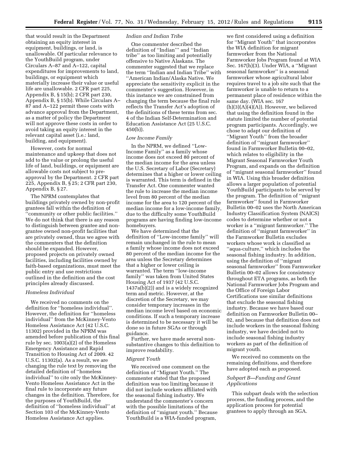that would result in the Department obtaining an equity interest in equipment, buildings, or land, is unallowable. Of particular relevance to the YouthBuild program, under Circulars A–87 and A–122, capital expenditures for improvements to land, buildings, or equipment which materially increase their value or useful life are unallowable. 2 CFR part 225, Appendix B, § 15(b); 2 CFR part 230, Appendix B, § 15(b). While Circulars A– 87 and A–122 permit these costs with advance approval from the Department, as a matter of policy the Department will not approve these costs in order to avoid taking an equity interest in the relevant capital asset (i.e.: land, building, and equipment).

However, costs for normal maintenance and upkeep that does not add to the value or prolong the useful life of land, buildings, or equipment are allowable costs not subject to preapproval by the Department. 2 CFR part 225, Appendix B, § 25; 2 CFR part 230, Appendix B, § 27.

The NPRM contemplates that buildings privately owned by non-profit grantees fall within the definition of ''community or other public facilities.'' We do not think that there is any reason to distinguish between grantee and nongrantee owned non-profit facilities that are privately owned, thus we agree with the commenters that the definition should be expanded. However, proposed projects on privately owned facilities, including facilities owned by faith-based organizations, must meet the public entry and use restrictions outlined in the definition and the cost principles already discussed.

#### *Homeless Individual*

We received no comments on the definition for ''homeless individual''. However, the definition for ''homeless individual'' from the McKinney-Vento Homeless Assistance Act (42 U.S.C. 11302) provided in the NPRM was amended before publication of this final rule by sec. 1003(a)(2) of the Homeless Emergency Assistance and Rapid Transition to Housing Act of 2009. 42 U.S.C. 11302(a). As a result, we are changing the rule text by removing the detailed definition of ''homeless individual'' to cite only the McKinney-Vento Homeless Assistance Act in the final rule to incorporate any future changes in the definition. Therefore, for the purposes of YouthBuild, the definition of ''homeless individual'' at Section 103 of the McKinney-Vento Homeless Assistance Act applies.

#### *Indian and Indian Tribe*

One commenter described the definition of ''Indian''' and ''Indian tribe'' as too limiting and potentially offensive to Native Alaskans. The commenter suggested that we replace the term ''Indian and Indian Tribe'' with ''American Indian/Alaska Native. We appreciate the sensitivity explicit in the commenter's suggestion. However, in this instance we are constrained from changing the term because the final rule reflects the Transfer Act's adoption of the definitions of these terms from sec. 4 of the Indian Self-Determination and Education Assistance Act (25 U.S.C. 450(b)).

#### *Low Income Family*

In the NPRM, we defined ''Low-Income Family'' as a family whose income does not exceed 80 percent of the median income for the area unless the U.S. Secretary of Labor (Secretary) determines that a higher or lower ceiling is warranted. This term is defined in the Transfer Act. One commenter wanted the rule to increase the median income level from 80 percent of the median income for the area to 120 percent of the median income for a low-income family, due to the difficulty some YouthBuild programs are having finding low-income homebuyers.

We have determined that the definition of ''Low-income family'' will remain unchanged in the rule to mean a family whose income does not exceed 80 percent of the median income for the area unless the Secretary determines that a higher or lower ceiling is warranted. The term ''low-income family'' was taken from United States Housing Act of 1937 (42 U.S.C. 1437a(b)(2)) and is a widely recognized term and metric. However, at the discretion of the Secretary, we may consider temporary increases in the median income level based on economic conditions. If such a temporary increase is determined to be necessary it will be done so in future SGAs or through guidance.

Further, we have made several nonsubstantive changes to this definition to improve readability.

# *Migrant Youth*

We received one comment on the definition of ''Migrant Youth.'' The commenter stated that the proposed definition was too limiting because it did not include workers affiliated with the seasonal fishing industry. We understand the commenter's concern with the possible limitations of the definition of ''migrant youth.'' Because YouthBuild is a WIA-funded program,

we first considered using a definition for ''Migrant Youth'' that incorporates the WIA definition for migrant farmworker from the National Farmworker Jobs Program found at WIA Sec. 167(h)(3). Under WIA, a ''Migrant seasonal farmworker'' is a seasonal farmworker whose agricultural labor requires travel to a job site such that the farmworker is unable to return to a permanent place of residence within the same day. (WIA sec. 167  $(h)(3)(A)(4)(A))$ . However, we believed that using the definition found in the statute limited the number of potential program participants. Accordingly, we chose to adapt our definition of ''Migrant Youth'' from the broader definition of ''migrant farmworker'' found in Farmworker Bulletin 00–02, which relates to eligibility in the Migrant Seasonal Farmworker Youth Program, and expands on the definition of ''migrant seasonal farmworker'' found in WIA. Using this broader definition allows a larger population of potential YouthBuild participants to be served by the program. The definition of ''migrant farmworker'' found in Farmworker Bulletin 00–02 uses the North American Industry Classification System (NAICS) codes to determine whether or not a worker is a ''migrant farmworker.'' The definition of ''migrant farmworker'' in the Farmworker Bulletin excludes workers whose work is classified as ''aqua-culture,'' which includes the seasonal fishing industry. In addition, using the definition of ''migrant seasonal farmworker'' from Farmworker Bulletin 00–02 allows for consistency throughout ETA programs, as both the National Farmworker Jobs Program and the Office of Foreign Labor Certifications use similar definitions that exclude the seasonal fishing industry. Because we have based our definition on Farmworker Bulletin 00– 02, and because that definition does not include workers in the seasonal fishing industry, we have decided not to include seasonal fishing industry workers as part of the definition of migrant youth.

We received no comments on the remaining definitions, and therefore have adopted each as proposed.

# *Subpart B—Funding and Grant Applications*

This subpart deals with the selection process, the funding process, and the application process for potential grantees to apply through an SGA.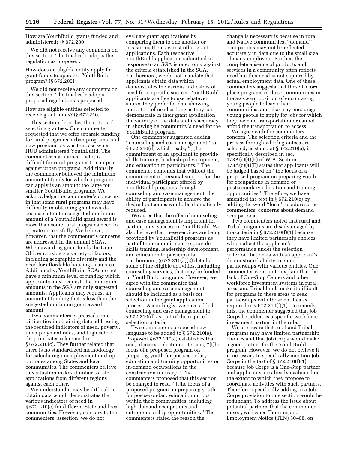How are YouthBuild grants funded and administered? (§ 672.200)

We did not receive any comments on this section. The final rule adopts the regulation as proposed.

How does an eligible entity apply for grant funds to operate a YouthBuild program? (§ 672.205)

We did not receive any comments on this section. The final rule adopts proposed regulation as proposed.

How are eligible entities selected to receive grant funds? (§ 672.210)

This section describes the criteria for selecting grantees. One commenter requested that we offer separate funding for rural programs, urban programs, and new programs as was the case when HUD administered YouthBuild. The commenter maintained that it is difficult for rural programs to compete against urban programs. Additionally, the commenter believed the minimum amount of funds for which a program can apply is an amount too large for smaller YouthBuild programs. We acknowledge the commenter's concerns in that some rural programs may have difficulty in obtaining grant awards because often the suggested minimum amount of a YouthBuild grant award is more than some rural programs need to operate successfully. We believe, however, that the commenter's concerns are addressed in the annual SGAs. When awarding grant funds the Grant Officer considers a variety of factors, including geographic diversity and the need for affordable housing in an area. Additionally, YouthBuild SGAs do not have a minimum level of funding which applicants must request; the minimum amounts in the SGA are only suggested amounts. Applicants may request an amount of funding that is less than the suggested minimum grant award amount.

Two commenters expressed some difficulties in obtaining data addressing the required indicators of need, poverty, unemployment rates, and high school drop-out rates referenced in § 672.210(c). They further related that there is no standardized methodology for calculating unemployment or dropout rates among States and local communities. The commenters believe this situation makes it unfair to rate applications from different regions against each other.

We understand it may be difficult to obtain data which demonstrates the various indicators of need in § 672.210(c) for different State and local communities. However, contrary to the commenters' assertion, we do not

evaluate grant applications by comparing them to one another or measuring them against other grant applications. Each respective YouthBuild application submitted in response to an SGA is rated only against the criteria established in the SGA. Furthermore, we do not mandate that applicants obtain data which demonstrates the various indicators of need from specific sources. YouthBuild applicants are free to use whatever source they prefer for data showing indicators of need as long as they can demonstrate in their grant application the validity of the data and its accuracy in showing he community's need for the YouthBuild program.

One commenter suggested adding ''counseling and case management'' to § 672.210(d) which reads, ''[t]he commitment of an applicant to provide skills training, leadership development, and education to participants.'' The commenter contends that without the commitment of personal support for the individual participant offered by YouthBuild programs through counseling and case management, the ability of participants to achieve the desired outcomes would be dramatically reduced.

We agree that the offer of counseling and case management is important for participants' success in YouthBuild. We also believe that these services are being provided by YouthBuild programs as part of their commitment to provide skills training, leadership development, and education to participants. Furthermore, § 672.310(a)(2) details some of the eligible activities, including counseling services, that may be funded in YouthBuild programs. However, we agree with the commenter that counseling and case management should be included as a basis for selection in the grant application process. Accordingly, we have added counseling and case management to § 672.210(d) as part of the required selection criteria.

Two commenters proposed new language to be added to § 672.210(e). Proposed § 672.210(e) establishes that one, of many, selection criteria is, ''[t]he focus of a proposed program on preparing youth for postsecondary education and training opportunities or in-demand occupations in the construction industry.'' The commenters proposed that this section be changed to read, ''[t]he focus of a proposed program on preparing youth for postsecondary education or jobs within their communities, including high-demand occupations and entrepreneurship opportunities.'' The commenters stated the reason the

change is necessary is because in rural and Native communities, ''demand'' occupations may not be reflected accurately in data due to the small size of many employers. Further, the complete absence of products and services in a community often reflects need but this need is not captured by actual employment data. One of these commenters suggests that these factors place programs in these communities in the awkward position of encouraging young people to leave their communities, and also may encourage young people to apply for jobs for which they have no transportation or cannot afford the transportation to access.

We agree with the commenters' concern. The selection criteria and the process through which grantees are selected, as stated at § 672.210(e), is specifically described in sec.  $173A(c)(4)(E)$  of WIA. Section  $173A(c)(4)(E)$  states that applicants will be judged based on ''the focus of a proposed program on preparing youth for occupations in demand or postsecondary education and training opportunities.'' Therefore, we have amended the text in § 672.210(e) by adding the word ''local'' to address the commenters' concerns about demand occupations.

Two commenters noted that rural and Tribal programs are disadvantaged by the criteria in  $§ 672.210(f)(1)$  because they have limited partnership choices which affect the applicant's performance under the selection criterion that deals with an applicant's demonstrated ability to enter partnerships with various entities. One commenter went on to explain that the lack of One-Stop Centers and other workforce investment systems in rural areas and Tribal lands make it difficult for programs in these areas to seek partnerships with those entities as required in  $§ 672.210(f)(1)$ . To remedy this, the commenter suggested that Job Corps be added as a specific workforce investment partner in the rule.

We are aware that rural and Tribal programs may have limited partnership choices and that Job Corps would make a good partner for the YouthBuild program. However, we do not believe it is necessary to specifically mention Job Corps in the text of  $\S 672.210(f)(1)$ because Job Corps is a One-Stop partner and applicants are already evaluated on the extent to which they propose to coordinate activities with such partners. Therefore, specifically adding in a Job Corps provision to this section would be redundant. To address the issue about potential partners that the commenter raised, we issued Training and Employment Notice (TEN) 50–08, on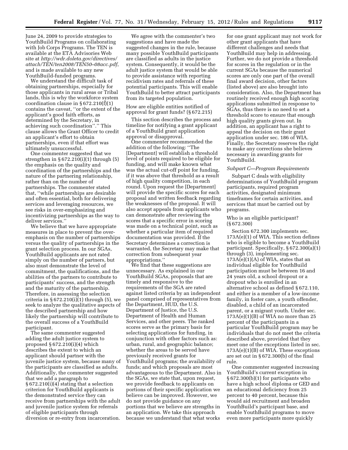June 24, 2009 to provide strategies to YouthBuild Programs on collaborating with Job Corps Programs. The TEN is available at the ETA Advisories Web site at *[http://wdr.doleta.gov/directives/](http://wdr.doleta.gov/directives/attach/TEN/ten2008/TEN50-08acc.pdf) [attach/TEN/ten2008/TEN50–08acc.pdf](http://wdr.doleta.gov/directives/attach/TEN/ten2008/TEN50-08acc.pdf)*, and is made available to any new YouthBuild-funded programs.

We understand the difficult task of obtaining partnerships, especially for those applicants in rural areas or Tribal lands, this is why the workforce system coordination clause in  $\S 672.210(f)(1)$ contains the caveat, ''or the extent of the applicant's good faith efforts, as determined by the Secretary, in achieving such coordination''.'' This clause allows the Grant Officer to credit an applicant's effort to obtain partnerships, even if that effort was ultimately unsuccessful.

One commenter suggested that we strengthen in § 672.210(i)(1) through (5) the emphasis on the quality and coordination of the partnerships and the nature of the partnering relationship, rather than on the number of partnerships. The commenter stated that, ''while partnerships are desirable and often essential, both for delivering services and leveraging resources, we see risks in over-emphasizing and incentivizing partnerships as the way to deliver services.''

We believe that we have appropriate measures in place to prevent the overemphasis on the number of partnerships versus the quality of partnerships in the grant selection process. In our SGAs, YouthBuild applicants are not rated simply on the number of partners, but also must demonstrate the level of commitment, the qualifications, and the abilities of the partners to contribute to participants' success, and the strength and the maturity of the partnership. Therefore, in assessing the selection criteria in  $\S 672.210(i)(1)$  through  $(5)$ , we seek to analyze the qualitative aspects of the described partnership and how likely the partnership will contribute to the overall success of a YouthBuild participant.

The same commenter suggested adding the adult justice system to proposed  $\S 672.210(i)(4)$  which describes the extent to which an applicant should partner with the juvenile justice system, because many of the participants are classified as adults. Additionally, the commenter suggested that we add a paragraph to § 672.210(i)(4) stating that a selection criterion for YouthBuild applicants is the demonstrated service they can receive from partnerships with the adult and juvenile justice system for referrals of eligible participants through diversion or re-entry from incarceration.

We agree with the commenter's two suggestions and have made the suggested changes in the rule, because many possible YouthBuild participants are classified as adults in the justice system. Consequently, it would be the adult justice system that would be able to provide assistance with reporting recidivism rates and referrals of these potential participants. This will enable YouthBuild to better attract participants from its targeted population.

#### How are eligible entities notified of approval for grant funds? (§ 672.215)

This section describes the process and timeline for notifying a grant applicant of a YouthBuild grant application approval or disapproval.

One commenter recommended the addition of the following: ''The [Department] will establish a threshold level of points required to be eligible for funding, and will make known what was the actual cut-off point for funding, if it was above that threshold as a result of high quality competition, in each round. Upon request the [Department] will provide the specific scores for each proposal and written feedback regarding the weaknesses of the proposal. It will also accept appeals from applicants who can demonstrate after reviewing the scores that a specific error in scoring was made on a technical point, such as whether a particular item of required documentation was provided. If the Secretary determines a correction is warranted, the Secretary may make that correction from subsequent year appropriations.''

We find that these suggestions are unnecessary. As explained in our YouthBuild SGAs, proposals that are timely and responsive to the requirements of the SGA are rated against listed criteria by an independent panel comprised of representatives from the Department, HUD, the U.S. Department of Justice, the U.S. Department of Health and Human Services, and other peers. The ranked scores serve as the primary basis for selecting applications for funding, in conjunction with other factors such as: urban, rural, and geographic balance; whether the areas to be served have previously received grants for YouthBuild programs; the availability of funds; and which proposals are most advantageous to the Department. Also in the SGAs, we state that, upon request, we provide feedback to applicants on portions of their specific application we believe can be improved. However, we do not provide guidance on any portions that we believe are strengths in an application. We take this approach because we understand that what works

for one grant applicant may not work for other grant applicants that have different challenges and needs that YouthBuild may help in addressing. Further, we do not provide a threshold for scores in the regulation or in the current SGAs because the numerical scores are only one part of the overall final award decision, other factors (listed above) are also brought into consideration. Also, the Department has routinely received enough high scoring applications submitted in response to SGAs, thus there is no need to set a threshold score to ensure that enough high quality grants given out. In addition, an applicant has a right to appeal the decision on their grant application under sec. 186 of WIA. Finally, the Secretary reserves the right to make any corrections she believes necessary in awarding grants for YouthBuild.

#### *Subpart C—Program Requirements*

Subpart C deals with eligibility determinations of YouthBuild program participants, required program activities, designated minimum timeframes for certain activities, and services that must be carried out by programs.

#### Who is an eligible participant? (§ 672.300)

Section 672.300 implements sec. 173A(e)(1) of WIA. This section defines who is eligible to become a YouthBuild participant. Specifically, § 672.300(a)(1) through (3), implementing sec.  $173A(e)(1)(A)$  of WIA, states that an individual eligible for YouthBuild participation must be between 16 and 24 years old, a school dropout or a dropout who is enrolled in an alternative school as defined § 672.110, and either is a member of a low-income family, in foster care, a youth offender, disabled, a child of an incarcerated parent, or a migrant youth. Under sec.  $173A(e)(1)(B)$  of WIA no more than 25 percent of the participants in a particular YouthBuild program may be individuals that do not meet the criteria described above, provided that they meet one of the exceptions listed in sec. 173A(e)(1)(B) of WIA. These exceptions are set out in § 672.300(b) of the final rule.

One commenter suggested increasing YouthBuild's current exception in § 672.300(b)(1) for participants who have a high school diploma or GED and an educational deficiency from 25 percent to 40 percent, because this would aid recruitment and broaden YouthBuild's participant base, and enable YouthBuild programs to move even more participants more quickly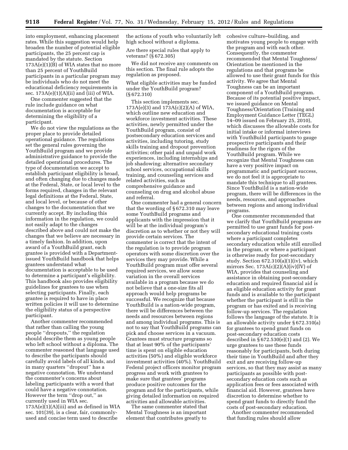into employment, enhancing placement rates. While this suggestion would help broaden the number of potential eligible participants, the 25 percent cap is mandated by the statute. Section  $173A(e)(1)(B)$  of WIA states that no more than 25 percent of YouthBuild participants in a particular program may be individuals who do not meet the educational deficiency requirements in sec.  $173A(e)(1)(A)(ii)$  and (iii) of WIA.

One commenter suggested that the rule include guidance on what documentation is acceptable for determining the eligibility of a participant.

We do not view the regulations as the proper place to provide detailed operational guidance. The regulations set the general rules governing the YouthBuild program and we provide administrative guidance to provide the detailed operational procedures. The type of documentation we accept to establish participant eligibility is broad, and often changing due to changes made at the Federal, State, or local level to the forms required, changes in the relevant legal definitions at the Federal, State, and local level, or because of other changes to the documentation that we currently accept. By including this information in the regulation, we could not easily adapt to the changes described above and could not make the changes that we believe are necessary in a timely fashion. In addition, upon award of a YouthBuild grant, each grantee is provided with a Departmentissued YouthBuild handbook that helps grantees understand what documentation is acceptable to be used to determine a participant's eligibility. This handbook also provides eligibility guidelines for grantees to use when selecting participants. Finally, each grantee is required to have in place written policies it will use to determine the eligibility status of a perspective participant.

Another commenter recommended that rather than calling the young people ''dropouts,'' the regulation should describe them as young people who left school without a diploma. The commenter reasoned that language used to describe the participants should carefully avoid labels of all kinds, and in many quarters ''dropout'' has a negative connotation. We understand the commenter's concerns about labeling participants with a word that could have a negative connotation. However the term ''drop out,'' as currently used in WIA sec.  $173A(e)(1)(A)(iii)$  and as defined in WIA sec. 101(39), is a clear, fair, commonlyused and concise term used to describe

the actions of youth who voluntarily left high school without a diploma.

Are there special rules that apply to veterans? (§ 672.305)

We did not receive any comments on this section. The final rule adopts the regulation as proposed.

What eligible activities may be funded under the YouthBuild program? (§ 672.310)

This section implements sec. 173A(e)(3) and 173A(c)(2)(A) of WIA, which outline new education and workforce investment activities. These activities, newly permitted under the YouthBuild program, consist of postsecondary education services and activities, including tutoring, study skills training and dropout prevention activities; other paid and unpaid work experiences, including internships and job shadowing; alternative secondary school services, occupational skills training, and counseling services and related activities, such as comprehensive guidance and counseling on drug and alcohol abuse and referral.

One commenter had a general concern that the wording of § 672.310 may leave some YouthBuild programs and applicants with the impression that it will be at the individual program's discretion as to whether or not they will provide certain services. The commenter is correct that the intent of the regulation is to provide program operators with some discretion over the services they may provide. While a YouthBuild program must offer several required services, we allow some variation in the overall services available in a program because we do not believe that a one-size fits all approach would help programs be successful. We recognize that because YouthBuild is a nation-wide program, there will be differences between the needs and resources between regions and among individual programs. This is not to say that YouthBuild programs can pick and choose services in a vacuum. Grantees must structure programs so that at least 90% of the participants' time is spent on eligible education activities (50%) and eligible workforce investment activities (40%). YouthBuild Federal project officers monitor program progress and work with grantees to make sure that grantees' programs produce positive outcomes for the program and for the participants, while giving detailed information on required activities and allowable activities.

The same commenter stated that Mental Toughness is an important element that contributes greatly to

cohesive culture–building, and motivates young people to engage with the program and with each other. Consequently, the commenter recommended that Mental Toughness/ Orientation be mentioned in the regulations and that programs be allowed to use their grant funds for this activity. We agree that Mental Toughness can be an important component of a YouthBuild program. Because of its potential positive impact, we issued guidance on Mental Toughness/Orientation (Training and Employment Guidance Letter (TEGL) 14–09 issued on February 25, 2010), which discusses the allowable costs for initial intake or informal interviews with YouthBuild participants to gauge prospective participants and their readiness for the rigors of the YouthBuild program. While we recognize that Mental Toughness can have a very positive impact on programmatic and participant success, we do not feel it is appropriate to mandate this technique to all grantees. Since YouthBuild is a nation-wide program, there will be differences in the needs, resources, and approaches between regions and among individual programs.

One commenter recommended that we clarify that YouthBuild programs are permitted to use grant funds for postsecondary educational training costs where a participant completes secondary education while still enrolled in the program, or where a participant is otherwise ready for post-secondary study. Section 672.310(a)(1)(iv), which mirrors Sec.  $173A(c)(2)(A)(iv)(IV)$  of WIA, provides that counseling and assistance in obtaining post-secondary education and required financial aid is an eligible education activity for grant funds and is available to the participant whether the participant is still in the program or has exited and is receiving follow-up services. The regulation follows the language of the statute. It is an allowable activity under § 672.310(a) for grantees to spend grant funds on post-secondary education costs described in § 672.530(e)(1) and (2). We urge grantees to use these funds reasonably for participants, both during their time in YouthBuild and after they exit and are receiving follow-up services, so that they may assist as many participants as possible with postsecondary education costs such as application fees or fees associated with financial aid. However, grantees have discretion to determine whether to spend grant funds to directly fund the costs of post-secondary education.

Another commenter recommended that funding rules should allow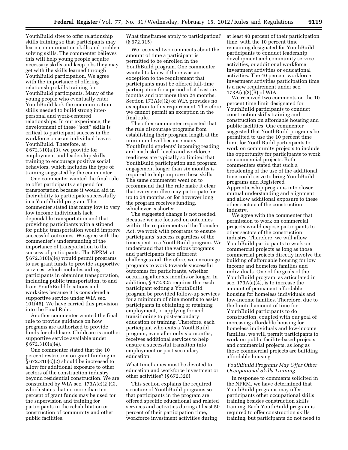YouthBuild sites to offer relationship skills training so that participants may learn communication skills and problem solving skills. The commenter believes this will help young people acquire necessary skills and keep jobs they may get with the skills learned through YouthBuild participation. We agree with the importance of offering relationship skills training for YouthBuild participants. Many of the young people who eventually enter YouthBuild lack the communication skills needed to build strong interpersonal and work-centered relationships. In our experience, the development of these ''soft'' skills is critical to participant success in the workforce once an individual leaves YouthBuild. Therefore, at § 672.310(a)(3), we provide for employment and leadership skills training to encourage positive social behaviors, which includes the type of training suggested by the commenter.

One commenter wanted the final rule to offer participants a stipend for transportation because it would aid in their ability to participate successfully in a YouthBuild program. The commenter stated that many low to very low income individuals lack dependable transportation and that providing participants with a stipend for public transportation would improve successful outcomes. We agree with the commenter's understanding of the importance of transportation to the success of participants. The NPRM, at § 672.310(a)(4) would permit programs to use grant funds to provide supportive services, which includes aiding participants in obtaining transportation, including public transportation, to and from YouthBuild locations and worksites because it is considered a supportive service under WIA sec. 101(46). We have carried this provision into the Final Rule.

Another commenter wanted the final rule to provide guidance on how programs are authorized to provide funds for childcare. Childcare is another supportive service available under § 672.310(a)(4).

One commenter stated that the 10 percent restriction on grant funding in § 672.310(c)(2) should be increased to allow for additional exposure to other sectors of the construction industry beyond residential construction. We are constrained by WIA sec. 173A(c)(2)(C), which states that no more than ten percent of grant funds may be used for the supervision and training for participants in the rehabilitation or construction of community and other public facilities.

What timeframes apply to participation? (§ 672.315)

We received two comments about the amount of time a participant is permitted to be enrolled in the YouthBuild program. One commenter wanted to know if there was an exception to the requirement that participants must be offered full-time participation for a period of at least six months and not more than 24 months. Section 173A(e)(2) of WIA provides no exception to this requirement. Therefore we cannot permit an exception in the final rule.

The other commenter requested that the rule discourage programs from establishing their program length at the minimum level because many YouthBuild students' incoming reading and math skill levels and workforce readiness are typically so limited that YouthBuild participation and program engagement longer than six months is required to help improve these skills. The same commenter went on to recommend that the rule make it clear that every enrollee may participate for up to 24 months, or for however long the program receives funding, whichever is shorter.

The suggested change is not needed. Because we are focused on outcomes within the requirements of the Transfer Act, we work with programs to ensure participants' success regardless of the time spent in a YouthBuild program. We understand that the various programs and participants face different challenges and, therefore, we encourage programs to work towards successful outcomes for participants, whether occurring after six months or longer. In addition, § 672.325 requires that each participant exiting a YouthBuild program be provided follow-up services for a minimum of nine months to assist participants in obtaining or retaining employment, or applying for and transitioning to post-secondary education or training. Therefore, each participant who exits a YouthBuild program, even after only six months, receives additional services to help ensure a successful transition into employment or post-secondary education.

What timeframes must be devoted to education and workforce investment or other activities? (§ 672.320)

This section explains the required structure of YouthBuild programs so that participants in the program are offered specific educational and related services and activities during at least 50 percent of their participation time, workforce investment activities during

at least 40 percent of their participation time, with the 10 percent time remaining designated for YouthBuild participants to conduct leadership development and community service activities, or additional workforce investment activities or educational activities. The 40 percent workforce investment activities participation time is a new requirement under sec.  $173A(e)(3)(B)$  of WIA.

We received two comments on the 10 percent time limit designated for YouthBuild participants to conduct construction skills training and construction on affordable housing and public facilities. One commenter suggested that YouthBuild programs be permitted to use the 10 percent time limit for YouthBuild participants to work on community projects to include the opportunity for participants to work on commercial projects. Both commenters stated that such a broadening of the use of the additional time could serve to bring YouthBuild programs and Registered Apprenticeship programs into closer mutual understanding and alignment and allow additional exposure to these other sectors of the construction industry.

We agree with the commenter that permission to work on commercial projects would expose participants to other sectors of the construction industry. Therefore, we will allow YouthBuild participants to work on commercial projects as long as those commercial projects directly involve the building of affordable housing for low income and homeless families and individuals. One of the goals of the YouthBuild program, as articulated in sec. 173A(a)(4), is to increase the amount of permanent affordable housing for homeless individuals and low-income families. Therefore, due to the limited amount of time for YouthBuild participants to do construction, coupled with our goal of increasing affordable housing for homeless individuals and low-income families, we will permit participants to work on public facility-based projects and commercial projects, as long as those commercial projects are building affordable housing.

# *YouthBuild Programs May Offer Other Occupational Skills Training*

In response to comments solicited in the NPRM, we have determined that YouthBuild programs may offer participants other occupational skills training besides construction skills training. Each YouthBuild program is required to offer construction skills training, but participants do not need to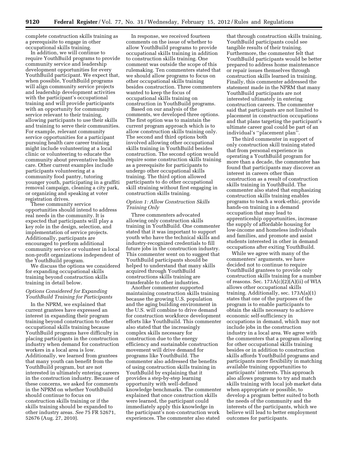complete construction skills training as a prerequisite to engage in other occupational skills training.

In addition, we will continue to require YouthBuild programs to provide community service and leadership development opportunities for every YouthBuild participant. We expect that, when possible, YouthBuild programs will align community service projects and leadership development activities with the participant's occupational training and will provide participants with an opportunity for community service relevant to their training, allowing participants to use their skills and training to serve their communities. For example, relevant community service opportunities for a participant pursuing health care career training might include volunteering at a local clinic or volunteering to educate the community about preventative health care. Other current examples include participants volunteering at a community food pantry, tutoring younger youth, participating in a graffiti removal campaign, cleaning a city park, or organizing and speaking at voter registration drives.

These community service opportunities should intend to address real needs in the community. It is expected that participants will play a key role in the design, selection, and implementation of service projects. Additionally, participants are encouraged to perform additional community service or volunteer in local non-profit organizations independent of the YouthBuild program.

We discuss the options we considered for expanding occupational skills training beyond construction skills training in detail below.

# *Options Considered for Expanding YouthBuild Training for Participants*

In the NPRM, we explained that current grantees have expressed an interest in expanding their program training beyond construction to other occupational skills training because YouthBuild programs have difficulty in placing participants in the construction industry when demand for construction workers in a local area is low. Additionally, we learned from grantees that many youth can benefit from the YouthBuild program, but are not interested in ultimately entering careers in the construction industry. Because of these concerns, we asked for comments in the NPRM on whether YouthBuild should continue to focus on construction skills training or if the skills training should be expanded to other industry areas. *See* 75 FR 52671, 52676 (Aug. 27, 2010).

In response, we received fourteen comments on the issue of whether to allow YouthBuild programs to provide occupational skills training in addition to construction skills training. One comment was outside the scope of this rulemaking. Ten commenters stated that we should allow programs to focus on other occupational skills training besides construction. Three commenters wanted to keep the focus of occupational skills training on construction in YouthBuild programs.

Based on our analysis of the comments, we developed three options. The first option was to maintain the current program approach which is to allow construction skills training only. The second and third options both involved allowing other occupational skills training in YouthBuild besides construction. The second option would require some construction skills training as a prerequisite for participants to undergo other occupational skills training. The third option allowed participants to do other occupational skill straining without first engaging in construction skills training.

# *Option 1: Allow Construction Skills Training Only*

Three commenters advocated allowing only construction skills training in YouthBuild. One commenter stated that it was important to support youth who have the technical skills and industry-recognized credentials to fill future jobs in the construction industry. This commenter went on to suggest that YouthBuild participants should be helped to understand that many skills acquired through YouthBuild constructions skills training are transferable to other industries.

Another commenter supported maintaining construction skills training because the growing U.S. population and the aging building environment in the U.S. will combine to drive demand for construction workforce development efforts like YouthBuild. This commenter also stated that the increasingly complex skills necessary for construction due to the energy efficiency and sustainable construction movement will drive demand for programs like YouthBuild. The commenter also addressed the benefits of using construction skills training in YouthBuild by explaining that it provides a step-by-step learning opportunity with well-defined knowledge benchmarks. The commenter explained that once construction skills were learned, the participant could immediately apply this knowledge in the participant's non-construction work experiences. The commenter also stated

that through construction skills training, YouthBuild participants could see tangible results of their training. Furthermore, the commenter felt that YouthBuild participants would be better prepared to address home maintenance or repair issues themselves through construction skills learned in training. Finally, this commenter addressed the statement made in the NPRM that many YouthBuild participants are not interested ultimately in entering construction careers. The commenter said that participants are not limited to placement in construction occupations and that plans targeting the participant's ultimate career goal could be part of an individual's ''placement plan''.

The third commenter in support of only construction skill training stated that from personal experience in operating a YouthBuild program for more than a decade, the commenter has found that participants may discover an interest in careers other than construction as a result of construction skills training in YouthBuild. The commenter also stated that emphasizing construction skills training enables programs to teach a work-ethic, provide hands-on training in a demand occupation that may lead to apprenticeship opportunities, increase the supply of affordable housing for low-income and homeless individuals and families, and promote and assist students interested in other in demand occupations after exiting YouthBuild.

While we agree with many of the commenters' arguments, we have decided not to continue to require YouthBuild grantees to provide only construction skills training for a number of reasons. Sec.  $173A(c)(2)(A)(ii)$  of WIA allows other occupational skills training. Additionally, sec. 173A(a)(1) states that one of the purposes of the program is to enable participants to obtain the skills necessary to achieve economic self-sufficiency in occupations in demand, which may not include jobs in the construction industry in a local area. We agree with the commenters that a program allowing for other occupational skills training besides or in addition to construction skills affords YouthBuild programs and participants more flexibility in matching available training opportunities to participants' interests. This approach also allows programs to try and match skills training with local job market data when appropriate or possible, to develop a program better suited to both the needs of the community and the interests of the participants, which we believe will lead to better employment outcomes for participants.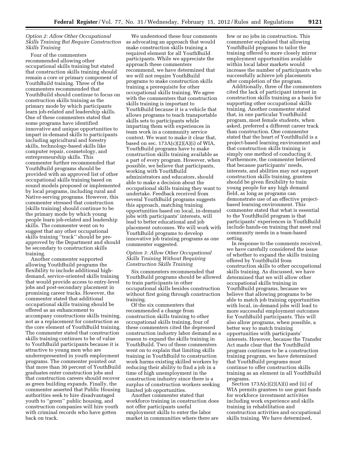# *Option 2: Allow Other Occupational Skills Training But Require Construction Skills Training*

Four of the commenters recommended allowing other occupational skills training but stated that construction skills training should remain a core or primary component of YouthBuild training. Three of the commenters recommended that YouthBuild should continue to focus on construction skills training as the primary mode by which participants learn job-related and leadership skills. One of these commenters stated that some programs have identified innovative and unique opportunities to impart in-demand skills to participants including agricultural and forestry skills, technology-based skills like computer repair, cosmetology, and entrepreneurship skills. This commenter further recommended that YouthBuild programs should be provided with an approved list of other occupational skills training based on sound models proposed or implemented by local programs, including rural and Native-serving programs. However, this commenter stressed that construction [skills training] should continue to be the primary mode by which young people learn job-related and leadership skills. The commenter went on to suggest that any other occupational skills training ''track'' should be preapproved by the Department and should be secondary to construction skills training.

Another commenter supported allowing YouthBuild programs the flexibility to include additional highdemand, service-oriented skills training that would provide access to entry-level jobs and post-secondary placement in promising career tracks. However, the commenter stated that additional occupational skills training should be offered as an enhancement to accompany constructions skills training, not as a replacement for construction as the core element of YouthBuild training. The commenter stated that construction skills training continues to be of value to YouthBuild participants because it is attractive to young men who are underrepresented in youth employment programs. The commenter pointed out that more than 30 percent of YouthBuild graduates enter construction jobs and that construction careers should recover as green building expands. Finally, the commenter asserted that Public Housing authorities seek to hire disadvantaged youth to ''green'' public housing, and construction companies will hire youth with criminal records who have gotten back on track.

We understood these four comments as advocating an approach that would make construction skills training a required element for all YouthBuild participants. While we appreciate the approach these commenters recommend, we have determined that we will not require YouthBuild programs to make construction skills training a prerequisite for other occupational skills training. We agree with the commenters that construction skills training is important to YouthBuild because it is a vehicle that allows programs to teach transportable skills sets to participants while imparting them with experiences in team work in a community service context. We want to make it clear that, based on sec. 173A(c)(2)(A)(i) of WIA, YouthBuild programs have to make construction skills training available as a part of every program. However, when possible, we believe that participants, working with YouthBuild administrators and educators, should able to make a decision about the occupational skills training they want to undertake. Feedback received from several YouthBuild programs suggests this approach, matching training opportunities based on local, in-demand jobs with participants' interests, will lead to better educational and job placement outcomes. We will work with YouthBuild programs to develop innovative job training programs as one commenter suggested.

# *Option 3: Allow Other Occupational Skills Training Without Requiring Construction Skills Training*

Six commenters recommended that YouthBuild programs should be allowed to train participants in other occupational skills besides construction without first going through construction training.

Of the six commenters that recommended a change from construction skills training to other occupational skills training, four of these commenters cited the depressed construction industry labor demand as a reason to expand the skills training in YouthBuild. Two of these commenters went on to explain that limiting skills training in YouthBuild to construction work harms existing skilled workers by reducing their ability to find a job in a time of high unemployment in the construction industry since there is a surplus of construction workers seeking limited job opportunities.

Another commenter stated that workforce training in construction does not offer participants useful employment skills to enter the labor market in communities where there are

few or no jobs in construction. This commenter explained that allowing YouthBuild programs to tailor the training offered to more closely mirror employment opportunities available within local labor markets would increase the number of participants who successfully achieve job placements after completion of the program.

Additionally, three of the commenters cited the lack of participant interest in construction skills training as a basis for supporting other occupational skills training. Another commenter stated that, in one particular YouthBuild program, most female students, when asked, preferred a different career track than construction. One commenter stated that the heart of YouthBuild is a project-based learning environment and that construction skills training is simply one method of conducting it. Furthermore, the commenter believed that because participants' needs, interests, and abilities may not support construction skills training, grantees should be given flexibility to train young people for any high demand field, as long as programs can demonstrate use of an effective projectbased learning environment. This commenter stated that what is essential to the YouthBuild program is that participants' experiences in YouthBuild include hands-on training that meet real community needs in a team-based setting.

In response to the comments received, we have carefully considered the issue of whether to expand the skills training offered by YouthBuild from construction skills to other occupational skills training. As discussed, we have determined that we will allow other occupational skills training in YouthBuild programs, because we believe that allowing programs to be able to match job training opportunities with local, in-demand jobs will lead to more successful employment outcomes for YouthBuild participants. This will also allow programs, when possible, a better way to match training opportunities with participants' interests. However, because the Transfer Act made clear that the YouthBuild program continues to be a construction training program, we have determined that YouthBuild programs must continue to offer construction skills training as an element in all YouthBuild programs.

Section  $173A(c)(2)(A)(i)$  and (ii) of WIA permits grantees to use grant funds for workforce investment activities including work experience and skills training in rehabilitation and construction activities and occupational skills training. We have determined,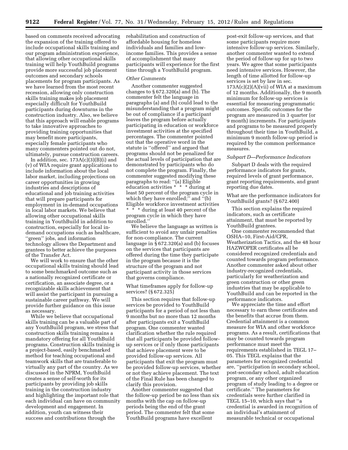based on comments received advocating the expansion of the training offered to include occupational skills training and our program administration experience, that allowing other occupational skills training will help YouthBuild programs provide more successful job placement outcomes and secondary schools placements for program participants. As we have learned from the most recent recession, allowing only construction skills training makes job placement especially difficult for YouthBuild participants during downturns in the construction industry. Also, we believe that this approach will enable programs to take innovative approaches to providing training opportunities that may benefit more participants, especially female participants who many commenters pointed out do not, ultimately, pursue construction careers.

In addition, sec.  $173A(c)(3)(B)(i)$  and (v) of WIA require grant applications to include information about the local labor market, including projections on career opportunities in growing industries and descriptions of educational and job training activities that will prepare participants for employment in in-demand occupations in local labor markets. We believe that allowing other occupational skills training in YouthBuild in addition to construction, especially for local indemand occupations such as healthcare, ''green'' jobs, and information technology allows the Department and grantees to better achieve the purposes of the Transfer Act.

We will work to ensure that the other occupational skills training should lead to some benchmarked outcome such as a nationally recognized certificate or certification, an associate degree, or a recognizable skills achievement that will assist the participant in pursuing a sustainable career pathway. We will provide further guidance on this issue as necessary.

While we believe that occupational skills training can be a valuable part of any YouthBuild program, we stress that construction skills training remains a mandatory offering for all YouthBuild programs. Construction skills training is a project-based, easily benchmarked method for teaching occupational and teamwork skills that are transferable to virtually any part of the country. As we discussed in the NPRM, YouthBuild creates a sense of self-worth for its participants by providing job skills training in the construction industry and highlighting the important role that each individual can have on community development and engagement. In addition, youth can witness their success and contributions through the

rehabilitation and construction of affordable housing for homeless individuals and families and lowincome families. This provides a sense of accomplishment that many participants will experience for the first time through a YouthBuild program.

#### *Other Comments*

Another commenter suggested changes to  $\S 672.320(a)$  and (b). The commenter felt the language in paragraphs (a) and (b) could lead to the misunderstanding that a program might be out of compliance if a participant leaves the program before actually participating in education or workforce investment activities at the specified percentages. The commenter pointed out that the operative word in the statute is ''offered'' and argued that programs should not be penalized for the actual levels of participation that are demonstrated by participants who do not complete the program. Finally, the commenter suggested modifying these paragraphs to read: ''(a) Eligible education activities \* \* \* during at least 50 percent of the program cycle in which they have enrolled;'' and ''(b) Eligible workforce investment activities \* \* \* during at least 40 percent of the program cycle in which they have enrolled.''

We believe the language as written is sufficient to avoid any unfair penalties for non-compliance. The current language in § 672.320(a) and (b) focuses on the services that participants are offered during the time they participate in the program because it is the structure of the program and not participant activity in those services that governs compliance.

#### What timeframes apply for follow-up services? (§ 672.325)

This section requires that follow-up services be provided to YouthBuild participants for a period of not less than 9 months but no more than 12 months after participants exit a YouthBuild program. One commenter wanted clarification whether the rule required that all participants be provided followup services or if only those participants that achieve placement were to be provided follow-up services. All participants that exit the program must be provided follow-up services, whether or not they achieve placement. The text of the Final Rule has been changed to clarify this provision.

Another commenter suggested that the follow-up period be no less than six months with the cap on follow-up periods being the end of the grant period. The commenter felt that some YouthBuild programs have excellent

post-exit follow-up services, and that some participants require more intensive follow-up services. Similarly, another commenter wanted to extend the period of follow-up for up to two years. We agree that some participants need intensive services. However, the length of time allotted for follow-up services is set by law in sec.  $173A(c)(2)(A)(vii)$  of WIA at a maximum of 12 months. Additionally, the 9 month minimum for follow-up services is essential for measuring programmatic outcomes. Specific outcomes for the program are measured in 3 quarter (or 9 month) increments. For participants and programs to be measured properly throughout their time in YouthBuild, a minimum 9 month follow-up period is required by the common performance measures.

#### *Subpart D—Performance Indicators*

Subpart D deals with the required performance indicators for grants, required levels of grant performance, grant reporting requirements, and grant reporting due dates.

What are the performance indicators for YouthBuild grants? (§ 672.400)

This section explains the required indicators, such as certificate attainment, that must be reported by YouthBuild grantees.

One commenter recommended that OSHA–10, First-Aid/CPR, Weatherization Tactics, and the 48 hour HAZWOPER certificates all be considered recognized credentials and counted towards program performance. Another commenter asked about other industry-recognized credentials, particularly for weatherization and green construction or other green industries that may be applicable to YouthBuild and can be reported in the performance indicators.

We appreciate the time and effort necessary to earn these certificates and the benefits that accrue from them. Credential attainment is a common measure for WIA and other workforce programs. As a result, certifications that may be counted towards program performance must meet the requirements established in TEGL 17– 05. This TEGL explains that the parameters for recognized credential are, ''participation in secondary school, post-secondary school, adult education program, or any other organized program of study leading to a degree or certificate.'' The parameters for credentials were further clarified in TEGL 15–10, which says that ''a credential is awarded in recognition of an individual's attainment of measurable technical or occupational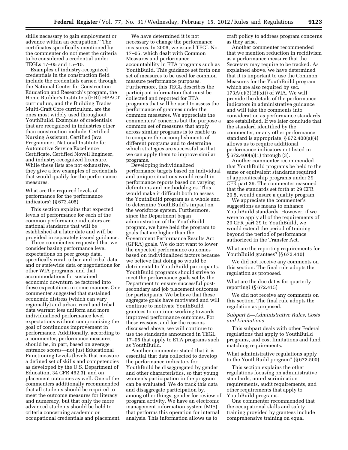skills necessary to gain employment or advance within an occupation.'' The certificates specifically mentioned by the commenter do not meet the criteria to be considered a credential under TEGLs 17–05 and 15–10.

Examples of industry-recognized credentials in the construction field include the credentials earned through the National Center for Construction Education and Research's program, the Home Builder's Institute's (HBI) HPACT curriculum, and the Building Trades Multi-Craft Core curriculum, are the ones most widely used throughout YouthBuild. Examples of credentials that are recognized in industries other than construction include, Certified Nursing Assistant, Certified Java Programmer, National Institute for Automotive Service Excellence Certificate, Certified Novell Engineer, and industry-recognized licensure. While these lists are not exhaustive, they give a few examples of credentials that would qualify for the performance measures.

What are the required levels of performance for the performance indicators? (§ 672.405)

This section explains that expected levels of performance for each of the common performance indicators are national standards that will be established at a later date and will be provided in separately issued guidance.

Three commenters requested that we consider basing performance level expectations on peer group data, specifically rural, urban and tribal data, and or statewide data or negotiations for other WIA programs, and that accommodations for sustained economic downturn be factored into these expectations in some manner. One commenter suggested that sustained economic distress (which can vary regionally) and urban, rural and tribal data warrant less uniform and more individualized performance level expectations without compromising the goal of continuous improvement in performance. Additionally, according to a commenter, performance measures should be, in part, based on average entrance scores—not just Educational Functioning Levels (levels that measure a defined set of skills and competencies as developed by the U.S. Department of Education, 34 CFR 462.3), and on placement outcomes as well. One of the commenters additionally recommended that all students should be required to meet the outcome measures for literacy and numeracy, but that only the more advanced students should be held to criteria concerning academic or occupational credentials and placement.

We have determined it is not necessary to change the performance measures. In 2006, we issued TEGL No. 17–05, which dealt with Common Measures and performance accountability in ETA programs such as YouthBuild. This guidance set forth one set of measures to be used for common measure performance purposes. Furthermore, this TEGL describes the participant information that must be collected and reported for ETA programs that will be used to assess the performance of grantees under the common measures. We appreciate the commenters' concerns but the purpose a common set of measures that apply across similar programs is to enable us to compare the accomplishments of different programs and to determine which strategies are successful so that we can apply them to improve similar programs.

Developing individualized performance targets based on individual and unique situations would result in performance reports based on varying definitions and methodologies. This would make it difficult both to assess the YouthBuild program as a whole and to determine YouthBuild's impact on the workforce system. Furthermore, since the Department began administration of the YouthBuild program, we have held the program to goals that are higher than the Government Performance Results Act (GPRA) goals. We do not want to lower the expected performance outcomes based on individualized factors because we believe that doing so would be detrimental to YouthBuild participants. YouthBuild programs should strive to meet the performance goals set by the Department to ensure successful postsecondary and job placement outcomes for participants. We believe that these aggregate goals have motivated and will continue to motivate YouthBuild grantees to continue working towards improved performance outcomes. For these reasons, and for the reasons discussed above, we will continue to use the standards announced in TEGL 17–05 that apply to ETA programs such as YouthBuild.

Another commenter stated that it is essential that data collected to develop the performance indicators for YouthBuild be disaggregated by gender and other characteristics, so that young women's participation in the program can be evaluated. We do track this data and disaggregate participation by, among other things, gender for review of program activity. We have an electronic management information system (MIS) that performs this operation for internal analysis. This information allows us to

craft policy to address program concerns as they arise.

Another commenter recommended that we mention reduction in recidivism as a performance measure that the Secretary may require to be tracked. As explained above, we have determined that it is important to use the Common Measures for the YouthBuild program which are also required by sec.  $173A(c)(3)(B)(xii)$  of WIA. We will provide the details of the performance indicators in administrative guidance and will take the comments into consideration as performance standards are established. If we later conclude that the standard identified by the commenter, or any other performance standard is appropriate, § 672.400(a)(4) allows us to require additional performance indicators not listed in § 672.400(a)(1) through (3).

Another commenter recommended that YouthBuild programs be held to the same or equivalent standards required of apprenticeship programs under 29 CFR part 29. The commenter reasoned that the standards set forth at 29 CFR 29.5, would ensure a quality program.

We appreciate the commenter's suggestions as means to enhance YouthBuild standards. However, if we were to apply all of the requirements of 29 CFR part 29 to YouthBuild, we would extend the period of training beyond the period of performance authorized in the Transfer Act.

What are the reporting requirements for YouthBuild grantees? (§ 672.410)

We did not receive any comments on this section. The final rule adopts the regulation as proposed.

What are the due dates for quarterly reporting? (§ 672.415)

We did not receive any comments on this section. The final rule adopts the regulation as proposed.

# *Subpart E—Administrative Rules, Costs and Limitations*

This subpart deals with other Federal regulations that apply to YouthBuild programs, and cost limitations and fund matching requirements.

What administrative regulations apply to the YouthBuild program? (§ 672.500)

This section explains the other regulations focusing on administrative standards, non-discrimination requirements, audit requirements, and other requirements that apply to YouthBuild programs.

One commenter recommended that the occupational skills and safety training provided by grantees include comprehensive training on equal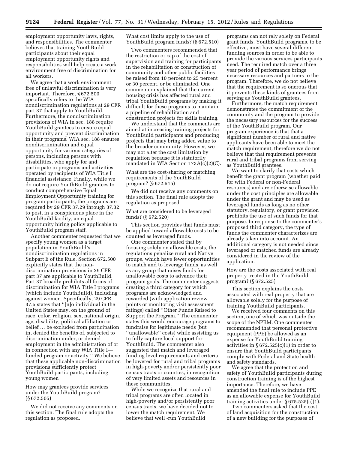employment opportunity laws, rights, and responsibilities. The commenter believes that training YouthBuild participants about their equal employment opportunity rights and responsibilities will help create a work environment free of discrimination for all workers.

We agree that a work environment free of unlawful discrimination is very important. Therefore, § 672.500 specifically refers to the WIA nondiscrimination regulations at 29 CFR part 37 that apply to YouthBuild. Furthermore, the nondiscrimination provisions of WIA in sec. 188 require YouthBuild grantees to ensure equal opportunity and prevent discrimination in their programs. WIA sec. 188 ensures nondiscrimination and equal opportunity for various categories of persons, including persons with disabilities, who apply for and participate in programs and activities operated by recipients of WIA Title I financial assistance. Finally, while we do not require YouthBuild grantees to conduct comprehensive Equal Employment Opportunity training for program participants, the programs are required by 29 CFR 37.29 through 37.32 to post, in a conspicuous place in the YouthBuild facility, an equal opportunity hiring policy applicable to YouthBuild program staff.

Another commenter requested that we specify young women as a target population in YouthBuild's nondiscrimination regulations in Subpart E of the Rule. Section 672.500 explicitly states that the nondiscrimination provisions in 29 CFR part 37 are applicable to YouthBuild. Part 37 broadly prohibits all forms of discrimination for WIA Title I programs (which include YouthBuild), including against women. Specifically, 29 CFR 37.5 states that ''[n]o individual in the United States may, on the ground of race, color, religion, sex, national origin, age, disability, political affiliation or belief … be excluded from participation in, denied the benefits of, subjected to discrimination under, or denied employment in the administration of or in connection with any WIA Title I funded program or activity.'' We believe that these applicable non-discrimination provisions sufficiently protect YouthBuild participants, including young women

# How may grantees provide services under the YouthBuild program? (§ 672.505)

We did not receive any comments on this section. The final rule adopts the regulation as proposed.

What cost limits apply to the use of YouthBuild program funds? (§ 672.510)

Two commenters recommended that the restriction or cap of the cost of supervision and training for participants in the rehabilitation or construction of community and other public facilities be raised from 10 percent to 25 percent or 30 percent, or be eliminated. One commenter explained that the current housing crisis has affected rural and tribal YouthBuild programs by making it difficult for these programs to maintain a pipeline of rehabilitation and construction projects for skills training.

We understand that the comments are aimed at increasing training projects for YouthBuild participants and producing projects that may bring added value to the broader community. However, we may not alter the cost limitation by regulation because it is statutorily mandated in WIA Section 173A(c)(2)(C).

# What are the cost-sharing or matching requirements of the YouthBuild program? (§ 672.515)

We did not receive any comments on this section. The final rule adopts the regulation as proposed.

# What are considered to be leveraged funds? (§ 672.520)

This section provides that funds must be applied toward allowable costs to be counted as leveraged funds.

One commenter stated that by focusing solely on allowable costs, the regulations penalize rural and Native groups, which have fewer opportunities to match and to leverage funds, as well as any group that raises funds for unallowable costs to advance their program goals. The commenter suggests creating a third category for which programs are acknowledged and rewarded (with application review points or monitoring visit assessment ratings) called ''Other Funds Raised to Support the Program.'' The commenter states this would encourage programs to fundraise for legitimate needs (but ''unallowable'' costs) while assisting us to fully capture local support for YouthBuild. The commenter also suggested that match and leveraged funding level requirements and criteria be lowered for rural and tribal programs in high-poverty and/or persistently poor census tracts or counties, in recognition of very limited assets and resources in these communities.

While we recognize that rural and tribal programs are often located in high-poverty and/or persistently poor census tracts, we have decided not to lower the match requirement. We believe that well -run YouthBuild

programs can not rely solely on Federal grant funds. YouthBuild programs, to be effective, must have several different funding sources in order to be able to provide the various services participants need. The required match over a three year period of performance brings necessary resources and partners to the program. Therefore, we do not believe that the requirement is so onerous that it prevents these kinds of grantees from serving as YouthBuild grantees.

Furthermore, the match requirement demonstrates the commitment of the community and the program to provide the necessary resources for the success of the YouthBuild program. Our program experience is that that a significant number of rural and native applicants have been able to meet the match requirement, therefore we do not believe that that requirement prevents rural and tribal programs from serving as YouthBuild grantees.

We want to clarify that costs which benefit the grant program (whether paid for with Federal or non-Federal resources) and are otherwise allowable under the cost principles are allowable under the grant and may be used as leveraged funds as long as no other statutory, regulatory, or grant provision prohibits the use of such funds for that purpose. In response to the commenter's proposed third category, the type of funds the commenter characterizes are already taken into account. An additional category is not needed since leveraged or matched funds are already considered in the review of the application.

How are the costs associated with real property treated in the YouthBuild program? (§ 672.525)

This section explains the costs associated with real property that are allowable solely for the purpose of training YouthBuild participants.

We received four comments on this section, one of which was outside the scope of the NPRM. One commenter recommended that personal protective equipment (PPE) be allowed as an expense for YouthBuild training activities in  $\S 672.525(c)(1)$  in order to ensure that YouthBuild participants comply with Federal and State health and safety standards.

We agree that the protection and safety of YouthBuild participants during construction training is of the highest importance. Therefore, we have amended the final rule to include PPE as an allowable expense for YouthBuild training activities under § 675.525(c)(1).

Two commenters asked that the cost of land acquisition for the construction of a new building for the purposes of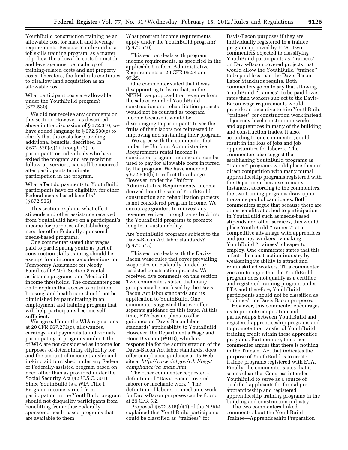YouthBuild construction training be an allowable cost for match and leverage requirements. Because YouthBuild is a job skills training program, as a matter of policy, the allowable costs for match and leverage must be made up of training-related costs and not property costs. Therefore, the final rule continues to disallow land acquisition as an allowable cost.

What participant costs are allowable under the YouthBuild program? (672.530)

We did not receive any comments on this section. However, as described above in the discussion of § 672.310, we have added language to § 672.530(e) to clarify that the costs for providing additional benefits, described in § 672.530(e)(1) through (3), to participants or individuals who have exited the program and are receiving follow-up services, can still be incurred after participants terminate participation in the program.

What effect do payments to YouthBuild participants have on eligibility for other Federal needs-based benefits? (§ 672.535)

This section explains what effect stipends and other assistance received from YouthBuild have on a participant's income for purposes of establishing need for other Federally sponsored needs-based programs.

One commenter stated that wages paid to participating youth as part of construction skills training should be exempt from income considerations for Temporary Assistance for Needy Families (TANF), Section 8 rental assistance programs, and Medicaid income thresholds. The commenter goes on to explain that access to nutrition, housing, and health care should not be diminished by participating in an employment and training program that will help participants become selfsufficient.

We agree. Under the WIA regulations at 20 CFR 667.272(c), allowances, earnings, and payments to individuals participating in programs under Title I of WIA are not considered as income for purposes of determining eligibility for and the amount of income transfer and in-kind aid furnished under any Federal or Federally-assisted program based on need other than as provided under the Social Security Act (42 U.S.C. 301). Since YouthBuild is a WIA Title I Program, income earned from participation in the YouthBuild program should not disqualify participants from benefitting from other Federallysponsored needs-based programs that are available to them.

What program income requirements apply under the YouthBuild program? (§ 672.540)

This section deals with program income requirements, as specified in the applicable Uniform Administrative Requirements at 29 CFR 95.24 and 97.25.

One commenter stated that it was disappointing to learn that, in the NPRM, we proposed that revenue from the sale or rental of YouthBuild construction and rehabilitation projects would not be counted as program income because it would be discouraging to participants to see the fruits of their labors not reinvested in improving and sustaining their program.

We agree with the commenter that under the Uniform Administrative Requirements rental income is considered program income and can be used to pay for allowable costs incurred by the program. We have amended § 672.540(b) to reflect this change. However, under the Uniform Administrative Requirements, income derived from the sale of YouthBuild construction and rehabilitation projects is not considered program income. We encourage grantees to reinvest any revenue realized through sales back into the YouthBuild programs to promote long-term sustainability.

Are YouthBuild programs subject to the Davis-Bacon Act labor standards? (§ 672.545)

This section deals with the Davis-Bacon wage rules that cover prevailing wage rates on Federally-funded or -assisted construction projects. We received five comments on this section. Two commenters stated that many groups may be confused by the Davis-Bacon Act labor standards and its application to YouthBuild. One commenter suggested that we offer separate guidance on this issue. At this time, ETA has no plans to offer guidance on Davis-Bacon labor standards' applicability to YouthBuild. However, the Department's Wage and Hour Division (WHD), which is responsible for the administration of the Davis-Bacon Act labor standards, does offer compliance guidance at its Web site at *[http://www.dol.gov/whd/regs/](http://www.dol.gov/whd/regs/compliance/ca_main.htm) [compliance/ca](http://www.dol.gov/whd/regs/compliance/ca_main.htm)*\_*main.htm.* 

The other commenter requested a definition of ''Davis-Bacon-covered laborer or mechanic work.'' The definition of laborer or mechanic work for Davis-Bacon purposes can be found at 29 CFR 5.2.

Proposed § 672.545(b)(1) of the NPRM explained that YouthBuild participants could be classified as ''trainees'' for

Davis-Bacon purposes if they are individually registered in a trainee program approved by ETA. Two commenters objected to classifying YouthBuild participants as ''trainees'' on Davis-Bacon covered projects that would allow the YouthBuild ''trainee'' to be paid less than the Davis-Bacon Labor Standards require. Both commenters go on to say that allowing YouthBuild ''trainees'' to be paid lower rates than workers subject to the Davis-Bacon wage requirements would provide an incentive to hire YouthBuild ''trainees'' for construction work instead of journey-level construction workers and apprentices in many of the building and construction trades. It also, according to one commenter, could result in the loss of jobs and job opportunities for laborers. The commenters also suggest that establishing YouthBuild programs as ''trainee'' programs would place them in direct competition with many formal apprenticeship programs registered with the Department because in many instances, according to the commenters, the two training programs draw upon the same pool of candidates. Both commenters argue that because there are other benefits attached to participation in YouthBuild such as needs-based stipends and other services, this would place YouthBuild ''trainees'' at a competitive advantage with apprentices and journey-workers by making YouthBuild ''trainees'' cheaper to employ. One commenter states that this affects the construction industry by weakening its ability to attract and retain skilled workers. This commenter goes on to argue that the YouthBuild program does not qualify as a certified and registered training program under ETA and therefore, YouthBuild participants should not be classified as ''trainees'' for Davis-Bacon purposes.

However, this commenter encourages us to promote cooperation and partnerships between YouthBuild and registered apprenticeship programs and to promote the transfer of YouthBuild training credit within these apprentice programs. Furthermore, the other commenter argues that there is nothing in the Transfer Act that indicates the purpose of YouthBuild is to create trainee programs registered with ETA. Finally, the commenter states that it seems clear that Congress intended YouthBuild to serve as a source of qualified applicants for formal preapprenticeship and registered apprenticeship training programs in the building and construction industry.

The two commenters linked comments about the YouthBuild Trainee—Apprenticeship Preparation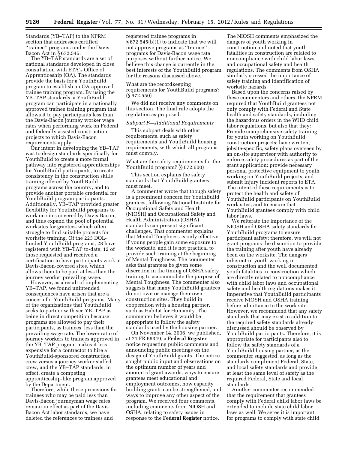Standards (YB–TAP) to the NPRM section that addresses certified ''trainee'' programs under the Davis-Bacon Act in § 672.545.

The YB–TAP standards are a set of national standards developed in close consultation with ETA's Office of Apprenticeship (OA). The standards provide the basis for a YouthBuild program to establish an OA-approved trainee training program. By using the YB–TAP standards, a YouthBuild program can participate in a nationally approved trainee training program that allows it to pay participants less than the Davis-Bacon journey worker wage rates when performing work on Federal and federally assisted construction projects to which Davis-Bacon requirements apply.

Our intent in developing the YB–TAP was to design standards specifically for YouthBuild to create a more formal pathway into registered apprenticeships for YouthBuild participants, to create consistency in the construction skills training offered by YouthBuild programs across the country, and to provide another portable credential for YouthBuild program participants. Additionally, YB–TAP provided greater flexibility for YouthBuild programs to work on sites covered by Davis-Bacon, and thus expand the pool of potential worksites for grantees which often struggle to find suitable projects for worksite training. Of the 223 DOLfunded YouthBuild programs, 28 have registered with YB–TAP to-date; 12 of those requested and received a certification to have participants work at Davis-Bacon-covered sites, which allows them to be paid at less than the journey worker prevailing wage.

However, as a result of implementing YB–TAP, we found unintended consequences have arisen that are a concern for YouthBuild programs. Many of the organizations that YouthBuild seeks to partner with see YB–TAP as being in direct competition because programs are allowed to pay their participants, as trainees, less than the prevailing wage rate. The lower ratio of journey workers to trainees approved in the YB–TAP program makes it less expensive for a contractor to hire a YouthBuild-sponsored construction crew versus a journey worker staffed crew, and the YB–TAP standards, in effect, create a competing apprenticeship-like program approved by the Department.

Therefore, while these provisions for trainees who may be paid less than Davis-Bacon journeyman wage rates remain in effect as part of the Davis-Bacon Act labor standards, we have deleted the references to trainees and

registered trainee programs in § 672.545(b)(1) to indicate that we will not approve programs as ''trainee'' programs for Davis-Bacon wage rate purposes without further notice. We believe this change is currently in the best interests of the YouthBuild program for the reasons discussed above.

What are the recordkeeping requirements for YouthBuild programs? (§ 672.550)

We did not receive any comments on this section. The final rule adopts the regulation as proposed.

### *Subpart F—Additional Requirements*

This subpart deals with other requirements, such as safety requirements and YouthBuild housing requirements, with which all programs must comply.

What are the safety requirements for the YouthBuild program? (§ 672.600)

This section explains the safety standards that YouthBuild grantees must meet.

A commenter wrote that though safety is a preeminent concern for YouthBuild grantees, following National Institute for Occupational Safety and Health (NIOSH) and Occupational Safety and Health Administration (OSHA) standards can present significant challenges. That commenter explains that Mental Toughness is only effective if young people gain some exposure to the worksite, and it is not practical to provide such training at the beginning of Mental Toughness. The commenter asks that grantees be given some discretion in the timing of OSHA safety training to accommodate the purpose of Mental Toughness. The commenter also suggests that many YouthBuild grantees do not own or manage their own construction sites. They build in cooperation with a housing partner, such as Habitat for Humanity. The commenter believes it would be appropriate to follow the safety standards used by the housing partner.

On November 14, 2006, we published, at 71 FR 66349, a **Federal Register**  notice requesting public comments and announcing public meetings on the design of YouthBuild grants. The notice sought public input and observations on the optimum number of years and amount of grant awards, ways to ensure grantees meet educational and employment outcomes, how capacity building grants can be strengthened, and ways to improve any other aspect of the program. We received four comments, including comments from NIOSH and OSHA, relating to safety issues in response to the **Federal Register** notice.

The NIOSH comments emphasized the dangers of youth working in construction and noted that youth fatalities in construction are related to noncompliance with child labor laws and occupational safety and health regulations. The comments from OSHA similarly stressed the importance of safety training and identification of worksite hazards.

Based upon the concerns raised by these commenters and others, the NPRM required that YouthBuild grantees not only comply with Federal and State health and safety standards, including the hazardous orders in the WHD child labor regulations, but also that they: Provide comprehensive safety training for youth working on YouthBuild construction projects; have written, jobsite-specific, safety plans overseen by an on-site supervisor with authority to enforce safety procedures as part of the grant application; provide necessary personal protective equipment to youth working on YouthBuild projects; and submit injury incident reports to ETA. The intent of these requirements is to protect the health and safety of YouthBuild participants on YouthBuild work sites, and to ensure that YouthBuild grantees comply with child labor laws.

We reiterate the importance of the NIOSH and OSHA safety standards for YouthBuild programs to ensure participant safety; therefore, we will not grant programs the discretion to provide the training after youth have already been on the worksite. The dangers inherent in youth working in construction and the well documented youth fatalities in construction which are directly related to noncompliance with child labor laws and occupational safety and health regulations makes it imperative that YouthBuild participants receive NIOSH and OSHA training before admittance to the work site. However, we recommend that any safety standards that may exist in addition to the required safety standards already discussed should be observed by YouthBuild participants. Therefore, it is appropriate for participants also to follow the safety standards of a YouthBuild housing partner, as the commenter suggested, as long as the standards compliment Federal, State, and local safety standards and provide at least the same level of safety as the required Federal, State and local standards.

Another commenter recommended that the requirement that grantees comply with Federal child labor laws be extended to include state child labor laws as well. We agree it is important for programs to comply with state child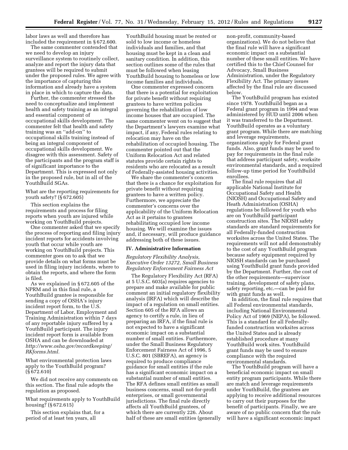labor laws as well and therefore has included the requirement in § 672.600.

The same commenter contended that we need to develop an injury surveillance system to routinely collect, analyze and report the injury data that grantees will be required to submit under the proposed rules. We agree with the importance of capturing this information and already have a system in place in which to capture the data.

Further, the commenter stressed the need to conceptualize and implement health and safety training as an integral and essential component of occupational skills development. The commenter felt that health and safety training was an ''add-on'' to occupational skills training instead of being an integral component of occupational skills development. We disagree with this assessment. Safety of the participants and the program staff is of significant importance to the Department. This is expressed not only in the proposed rule, but in all of the YouthBuild SGAs.

What are the reporting requirements for youth safety? (§ 672.605)

This section explains the requirements and process for filing reports when youth are injured while working on YouthBuild projects.

One commenter asked that we specify the process of reporting and filing injury incident reports for accidents involving youth that occur while youth are working on YouthBuild projects. This commenter goes on to ask that we provide details on what forms must be used in filing injury incidents, where to obtain the reports, and where the form is filed.

As we explained in § 672.605 of the NPRM and in this final rule, a YouthBuild grantee is responsible for sending a copy of OSHA's injury incident report form, to the U.S. Department of Labor, Employment and Training Administration within 7 days of any reportable injury suffered by a YouthBuild participant. The injury incident report form is available from OSHA and can be downloaded at *[http://www.osha.gov/recordkeeping/](http://www.osha.gov/recordkeeping/RKforms.html)  [RKforms.html.](http://www.osha.gov/recordkeeping/RKforms.html)* 

What environmental protection laws apply to the YouthBuild program? (§ 672.610)

We did not receive any comments on this section. The final rule adopts the regulation as proposed.

What requirements apply to YouthBuild housing? (§ 672.615)

This section explains that, for a period of at least ten years, all

YouthBuild housing must be rented or sold to low income or homeless individuals and families, and that housing must be kept in a clean and sanitary condition. In addition, this section outlines some of the rules that must be followed when leasing YouthBuild housing to homeless or low income families and individuals.

One commenter expressed concern that there is a potential for exploitation for private benefit without requiring grantees to have written policies governing the rehabilitation of low income houses that are occupied. The same commenter went on to suggest that the Department's lawyers examine what impact, if any, Federal rules relating to relocation may have on the rehabilitation of occupied housing. The commenter pointed out that the Uniform Relocation Act and related statutes provide certain rights to residents who are relocated as a result of Federally-assisted housing activities.

We share the commenter's concern that there is a chance for exploitation for private benefit without requiring grantees to have a written policy. Furthermore, we appreciate the commenter's concerns over the applicability of the Uniform Relocation Act as it pertains to grantees rehabilitating occupied low income housing. We will examine the issues and, if necessary, will produce guidance addressing both of these issues.

#### **IV. Administrative Information**

*Regulatory Flexibility Analysis, Executive Order 13272, Small Business Regulatory Enforcement Fairness Act* 

The Regulatory Flexibility Act (RFA) at 5 U.S.C. 603(a) requires agencies to prepare and make available for public comment an initial regulatory flexibility analysis (IRFA) which will describe the impact of a regulation on small entities. Section 605 of the RFA allows an agency to certify a rule, in lieu of preparing an IRFA, if the final rule is not expected to have a significant economic impact on a substantial number of small entities. Furthermore, under the Small Business Regulatory Enforcement Fairness Act of 1996, 5 U.S.C. 801 (SBREFA), an agency is required to produce compliance guidance for small entities if the rule has a significant economic impact on a substantial number of small entities. The RFA defines small entities as small business concerns, small not-for-profit enterprises, or small governmental jurisdictions. The final rule directly affects all YouthBuild grantees, of which there are currently 226. About half of these are small entities (generally non-profit, community-based organizations). We do not believe that the final rule will have a significant economic impact on a substantial number of these small entities. We have certified this to the Chief Counsel for Advocacy, Small Business Administration, under the Regulatory Flexibility Act. The primary issues affected by the final rule are discussed below.

The YouthBuild program has existed since 1978. YouthBuild began as a Federal grant program in 1994 and was administered by HUD until 2006 when it was transferred to the Department. YouthBuild operates as a voluntary grant program. While there are matching and leverage requirements, organizations apply for Federal grant funds. Also, grant funds may be used to pay for requirements in the final rule that address participant safety, worksite environmental standards, and a required follow-up time period for YouthBuild enrollees.

The final rule requires that all applicable National Institute for Occupational Safety and Health (NIOSH) and Occupational Safety and Heath Administration (OSHA) regulations be followed for youth who are on YouthBuild participant construction sites. The NIOSH safety standards are standard requirements for all Federally-funded construction worksites across the United States. The requirements will not add demonstrably to the cost of any YouthBuild program because safety equipment required by NIOSH standards can be purchased using YouthBuild grant funds provided by the Department. Further, the cost of the other requirements—supervisor training, development of safety plans, safety reporting, etc.—can be paid for with grant funds as well.

In addition, the final rule requires that all Federal environmental standards, including National Environmental Policy Act of 1969 (NEPA), be followed. This is a standard for all Federallyfunded construction worksites across the United States and is already established procedure at many YouthBuild work sites. YouthBuild grant funds may be used to ensure compliance with the required environmental standards.

The YouthBuild program will have a beneficial economic impact on small entity program participants. While there are match and leverage requirements under YouthBuild, the grantees are applying to receive additional resources to carry out their purposes for the benefit of participants. Finally, we are aware of no public concern that the rule will have a significant economic impact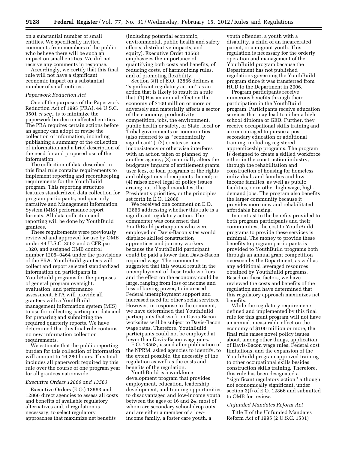on a substantial number of small entities. We specifically invited comments from members of the public who believe there will be such an impact on small entities. We did not receive any comments in response.

Accordingly, we certify that this final rule will not have a significant economic impact on a substantial number of small entities.

#### *Paperwork Reduction Act*

One of the purposes of the Paperwork Reduction Act of 1995 (PRA), 44 U.S.C. 3501 *et seq.*, is to minimize the paperwork burden on affected entities. The PRA requires certain actions before an agency can adopt or revise the collection of information, including publishing a summary of the collection of information and a brief description of the need for and proposed use of the information.

The collection of data described in this final rule contains requirements to implement reporting and recordkeeping requirements for the YouthBuild program. This reporting structure features standardized data collection for program participants, and quarterly narrative and Management Information System (MIS) performance report formats. All data collection and reporting will be done by YouthBuild grantees.

These requirements were previously reviewed and approved for use by OMB under 44 U.S.C. 3507 and 5 CFR part 1320, and assigned OMB control number 1205–0464 under the provisions of the PRA. YouthBuild grantees will collect and report selected standardized information on participants in YouthBuild programs for the purposes of general program oversight, evaluation, and performance assessment. ETA will provide all grantees with a YouthBuild management information system (MIS) to use for collecting participant data and for preparing and submitting the required quarterly reports. We have determined that this final rule contains no new information collection requirements.

We estimate that the public reporting burden for this collection of information will amount to 16,280 hours. This total includes all paperwork required by this rule over the course of one program year for all grantees nationwide.

#### *Executive Orders 12866 and 13563*

Executive Orders (E.O.) 13563 and 12866 direct agencies to assess all costs and benefits of available regulatory alternatives and, if regulation is necessary, to select regulatory approaches that maximize net benefits

(including potential economic, environmental, public health and safety effects, distributive impacts, and equity). Executive Order 13563 emphasizes the importance of quantifying both costs and benefits, of reducing costs, of harmonizing rules, and of promoting flexibility.

Section 3(f) of E.O. 12866 defines a ''significant regulatory action'' as an action that is likely to result in a rule that: (1) Has an annual effect on the economy of \$100 million or more or adversely and materially affects a sector of the economy, productivity, competition, jobs, the environment, public health or safety, or State, local or Tribal governments or communities (also referred to as ''economically significant''); (2) creates serious inconsistency or otherwise interferes with an action taken or planned by another agency; (3) materially alters the budgetary impacts of entitlement grants, user fees, or loan programs or the rights and obligations of recipients thereof; or (4) raises novel legal or policy issues arising out of legal mandates, the President's priorities, or the principles set forth in E.O. 12866

We received one comment on E.O. 12866 addressing whether this rule is a significant regulatory action. The commenter was concerned that YouthBuild participants who were employed on Davis-Bacon sites would displace skilled construction apprentices and journey workers because the YouthBuild participant could be paid a lower than Davis-Bacon required wage. The commenter suggested that this would result in the unemployment of these trade workers and the effect on the economy could be large, ranging from loss of income and loss of buying power, to increased Federal unemployment support and increased need for other social services. However, in response to the comment, we have determined that YouthBuild participants that work on Davis-Bacon worksites will be subject to Davis-Bacon wage rates. Therefore, YouthBuild participants could not be employed at lower than Davis-Bacon wage rates.

E.O. 13563, issued after publication of the NPRM, asked agencies to identify, to the extent possible, the necessity of the regulation as well as the costs and benefits of the regulation.

YouthBuild is a workforce development program that provides employment, education, leadership development, and training opportunities to disadvantaged and low-income youth between the ages of 16 and 24, most of whom are secondary school drop outs and are either a member of a lowincome family, a foster care youth, a

youth offender, a youth with a disability, a child of an incarcerated parent, or a migrant youth. This regulation is necessary for the orderly operation and management of the YouthBuild program because the Department has not published regulations governing the YouthBuild program since it was transferred from HUD to the Department in 2006.

Program participants receive numerous benefits through their participation in the YouthBuild program. Participants receive education services that may lead to either a high school diploma or GED. Further, they receive occupational skills training and are encouraged to pursue a postsecondary education or additional training, including registered apprenticeship programs. The program is designed to create a skilled workforce either in the construction industry, through the rehabilitation and construction of housing for homeless individuals and families and lowincome families, as well as public facilities, or in other high wage, highdemand jobs. The program also benefits the larger community because it provides more new and rehabilitated affordable housing.

In contrast to the benefits provided to both program participants and their communities, the cost to YouthBuild programs to provide these services is minimal. The money to provide these benefits to program participants is provided to YouthBuild programs both through an annual grant competition overseen by the Department, as well as any additional leveraged resources obtained by YouthBuild programs. Based on these factors, we have reviewed the costs and benefits of the regulation and have determined that this regulatory approach maximizes net benefits.

While the regulatory requirements defined and implemented by this final rule for this grant program will not have an annual, measurable effect on the economy of \$100 million or more, the final rule raises novel policy issues about, among other things, application of Davis-Bacon wage rules, Federal cost limitations, and the expansion of the YouthBuild program approved training to other occupational skills besides construction skills training. Therefore, this rule has been designated a ''significant regulatory action'' although not economically significant, under section 3(f) of E.O. 12866 and submitted to OMB for review.

#### *Unfunded Mandates Reform Act*

Title II of the Unfunded Mandates Reform Act of 1995 (2 U.S.C. 1531)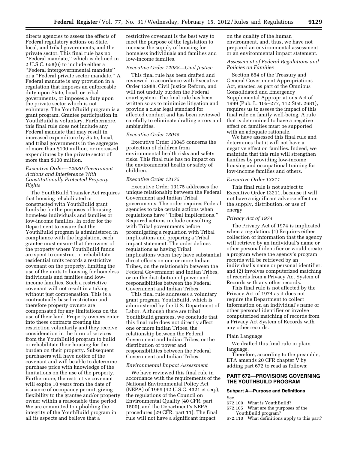directs agencies to assess the effects of Federal regulatory actions on State, local, and tribal governments, and the private sector. This final rule has no ''Federal mandate,'' which is defined in 2 U.S.C. 658(6) to include either a ''Federal intergovernmental mandate'' or a ''Federal private sector mandate.'' A Federal mandate is any provision in a regulation that imposes an enforceable duty upon State, local, or tribal governments, or imposes a duty upon the private sector which is not voluntary. The YouthBuild program is a grant program. Grantee participation in YouthBuild is voluntary. Furthermore, this final rule does not include any Federal mandate that may result in increased expenditure by State, local, and tribal governments in the aggregate of more than \$100 million, or increased expenditures by the private sector of more than \$100 million.

# *Executive Order—12630 Government Actions and Interference With Constitutionally Protected Property Rights*

The YouthBuild Transfer Act requires that housing rehabilitated or constructed with YouthBuild grant funds be for the purposes of housing homeless individuals and families or low-income families. In order for the Department to ensure that the YouthBuild program is administered in compliance with the legislation, each grantee must ensure that the owner of the property where YouthBuild funds are spent to construct or rehabilitate residential units records a restrictive covenant on the property, limiting the use of the units to housing for homeless individuals and families and lowincome families. Such a restrictive covenant will not result in a taking without just compensation. This is a contractually-based restriction and therefore property owners are compensated for any limitations on the use of their land. Property owners enter into these contracts creating the restriction voluntarily and they receive consideration in the form of services from the YouthBuild program to build or rehabilitate their housing for the burden on their property. Subsequent purchasers will have notice of the covenant and will be able to determine purchase price with knowledge of the limitations on the use of the property. Furthermore, the restrictive covenant will expire 10 years from the date of issuance of occupancy permit, giving flexibility to the grantee and/or property owner within a reasonable time period. We are committed to upholding the integrity of the YouthBuild program in all its aspects and believe that a

restrictive covenant is the best way to meet the purpose of the legislation to increase the supply of housing for homeless individuals and families and low-income families.

#### *Executive Order 12988—Civil Justice*

This final rule has been drafted and reviewed in accordance with Executive Order 12988, Civil Justice Reform, and will not unduly burden the Federal court system. The final rule has been written so as to minimize litigation and provide a clear legal standard for affected conduct and has been reviewed carefully to eliminate drafting errors and ambiguities.

#### *Executive Order 13045*

Executive Order 13045 concerns the protection of children from environmental health risks and safety risks. This final rule has no impact on the environmental health or safety of children.

#### *Executive Order 13175*

Executive Order 13175 addresses the unique relationship between the Federal Government and Indian Tribal governments. The order requires Federal agencies to take certain actions when regulations have ''Tribal implications.'' Required actions include consulting with Tribal governments before promulgating a regulation with Tribal implications and preparing a Tribal impact statement. The order defines regulations as having Tribal implications when they have substantial direct effects on one or more Indian Tribes, on the relationship between the Federal Government and Indian Tribes, or on the distribution of power and responsibilities between the Federal Government and Indian Tribes.

This final rule addresses a voluntary grant program, YouthBuild, which is administered by the U.S. Department of Labor. Although there are tribal YouthBuild grantees, we conclude that this final rule does not directly affect one or more Indian Tribes, the relationship between the Federal Government and Indian Tribes, or the distribution of power and responsibilities between the Federal Government and Indian Tribes.

### *Environmental Impact Assessment*

We have reviewed this final rule in accordance with the requirements of the National Environmental Policy Act (NEPA) of 1969 (42 U.S.C. 4321 et seq.), the regulations of the Council on Environmental Quality (40 CFR. part 1500), and the Department's NEPA procedures (29 CFR. part 11). The final rule will not have a significant impact

on the quality of the human environment, and, thus, we have not prepared an environmental assessment or an environmental impact statement.

# *Assessment of Federal Regulations and Policies on Families*

Section 654 of the Treasury and General Government Appropriations Act, enacted as part of the Omnibus Consolidated and Emergency Supplemental Appropriations Act of 1999 (Pub. L. 105–277, 112 Stat. 2681), requires us to assess the impact of this final rule on family well-being. A rule that is determined to have a negative effect on families must be supported with an adequate rationale.

We have assessed this final rule and determines that it will not have a negative effect on families. Indeed, we maintain that this rule will strengthen families by providing low-income housing and occupational training for low-income families and others.

#### *Executive Order 13211*

This final rule is not subject to Executive Order 13211, because it will not have a significant adverse effect on the supply, distribution, or use of energy.

#### *Privacy Act of 1974*

The Privacy Act of 1974 is implicated when a regulation: (1) Requires either collection of information that the agency will retrieve by an individual's name or other personal identifier or would create a program where the agency's program records will be retrieved by an individual's name or personal identifier; and (2) involves computerized matching of records from a Privacy Act System of Records with any other records.

This final rule is not affected by the Privacy Act of 1974 as it does not require the Department to collect information on an individual's name or other personal identifier or involve computerized matching of records from a Privacy Act System of Records with any other records.

#### Plain Language

We drafted this final rule in plain language.

Therefore, according to the preamble, ETA amends 20 CFR chapter V by adding part 672 to read as follows:

#### **PART 672—PROVISIONS GOVERNING THE YOUTHBUILD PROGRAM**

# **Subpart A—Purpose and Definitions**

Sec.

- 672.100 What is YouthBuild?
- 672.105 What are the purposes of the YouthBuild program?
- 672.110 What definitions apply to this part?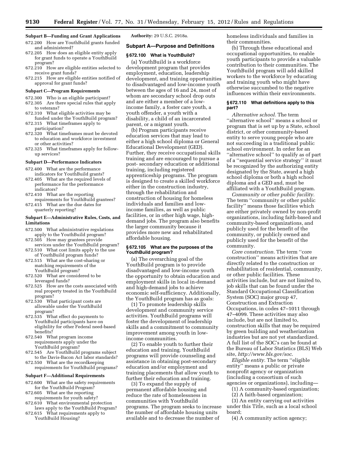# **Subpart B—Funding and Grant Applications**

- 672.200 How are YouthBuild grants funded and administered?
- 672.205 How does an eligible entity apply for grant funds to operate a YouthBuild program?
- 672.210 How are eligible entities selected to receive grant funds?
- 672.215 How are eligible entities notified of approval for grant funds?

#### **Subpart C—Program Requirements**

- 672.300 Who is an eligible participant? 672.305 Are there special rules that apply to veterans?
- 672.310 What eligible activities may be funded under the YouthBuild program?
- 672.315 What timeframes apply to participation?
- 672.320 What timeframes must be devoted to education and workforce investment or other activities?
- 672.325 What timeframes apply for followup services?

#### **Subpart D—Performance Indicators**

- 672.400 What are the performance indicators for YouthBuild grants?
- 672.405 What are the required levels of performance for the performance indicators?
- 672.410 What are the reporting requirements for YouthBuild grantees?
- 672.415 What are the due dates for quarterly reporting?

#### **Subpart E—Administrative Rules, Costs, and Limitations**

- 672.500 What administrative regulations apply to the YouthBuild program?
- 672.505 How may grantees provide services under the YouthBuild program?
- 672.510 What cost limits apply to the use of YouthBuild program funds?
- 672.515 What are the cost-sharing or matching requirements of the YouthBuild program?
- 672.520 What are considered to be leveraged funds?
- 672.525 How are the costs associated with real property treated in the YouthBuild program?
- 672.530 What participant costs are allowable under the YouthBuild program?
- 672.535 What effect do payments to YouthBuild participants have on eligibility for other Federal need-based benefits?
- 672.540 What program income requirements apply under the YouthBuild program?
- 672.545 Are YouthBuild programs subject to the Davis-Bacon Act labor standards?
- 672.550 What are the recordkeeping requirements for YouthBuild programs?

# **Subpart F—Additional Requirements**

- 672.600 What are the safety requirements for the YouthBuild Program?
- 672.605 What are the reporting requirements for youth safety?
- 672.610 What environmental protection laws apply to the YouthBuild Program?
- 672.615 What requirements apply to YouthBuild Housing?

**Authority:** 29 U.S.C. 2918a.

# **Subpart A—Purpose and Definitions**

# **§ 672.100 What is YouthBuild?**

(a) YouthBuild is a workforce development program that provides employment, education, leadership development, and training opportunities to disadvantaged and low-income youth between the ages of 16 and 24, most of whom are secondary school drop outs and are either a member of a lowincome family, a foster care youth, a youth offender, a youth with a disability, a child of an incarcerated parent, or a migrant youth.

(b) Program participants receive education services that may lead to either a high school diploma or General Educational Development (GED). Further, they receive occupational skills training and are encouraged to pursue a post- secondary education or additional training, including registered apprenticeship programs. The program is designed to create a skilled workforce either in the construction industry, through the rehabilitation and construction of housing for homeless individuals and families and lowincome families, as well as public facilities, or in other high wage, highdemand jobs. The program also benefits the larger community because it provides more new and rehabilitated affordable housing.

#### **§ 672.105 What are the purposes of the YouthBuild program?**

(a) The overarching goal of the YouthBuild program is to provide disadvantaged and low-income youth the opportunity to obtain education and employment skills in local in-demand and high-demand jobs to achieve economic self-sufficiency. Additionally, the YouthBuild program has as goals:

(1) To promote leadership skills development and community service activities. YouthBuild programs will foster the development of leadership skills and a commitment to community improvement among youth in lowincome communities.

(2) To enable youth to further their education and training. YouthBuild programs will provide counseling and assistance in obtaining post-secondary education and/or employment and training placements that allow youth to further their education and training.

(3) To expand the supply of permanent affordable housing and reduce the rate of homelessness in communities with YouthBuild programs. The program seeks to increase the number of affordable housing units available and to decrease the number of

homeless individuals and families in their communities.

(b) Through these educational and occupational opportunities, to enable youth participants to provide a valuable contribution to their communities. The YouthBuild program will add skilled workers to the workforce by educating and training youth who might have otherwise succumbed to the negative influences within their environments.

#### **§ 672.110 What definitions apply to this part?**

*Alternative school.* The term ''alternative school'' means a school or program that is set up by a State, school district, or other community-based entity to serve young people who are not succeeding in a traditional public school environment. In order for an ''alternative school'' to qualify as of part of a ''sequential service strategy'' it must be recognized by the authorizing entity designated by the State, award a high school diploma or both a high school diploma and a GED and, must be affiliated with a YouthBuild program.

*Community or other public facility.*  The term ''community or other public facility'' means those facilities which are either privately owned by non-profit organizations, including faith-based and community-based organizations, and publicly used for the benefit of the community, or publicly owned and publicly used for the benefit of the community.

*Core construction.* The term ''core construction'' means activities that are directly related to the construction or rehabilitation of residential, community, or other public facilities. These activities include, but are not limited to, job skills that can be found under the Standard Occupational Classification System (SOC) major group 47, Construction and Extraction Occupations, in codes 47–1011 through 47–4099. These activities may also include, but are not limited to, construction skills that may be required by green building and weatherization industries but are not yet standardized. A full list of the SOC's can be found at the Bureau of Labor Statistics (BLS) Web site, *<http://www.bls.gov/soc>*.

*Eligible entity.* The term ''eligible entity'' means a public or private nonprofit agency or organization (including a consortium of such agencies or organizations), including—

(1) A community-based organization;

(2) A faith-based organization;

(3) An entity carrying out activities under this Title, such as a local school board;

(4) A community action agency;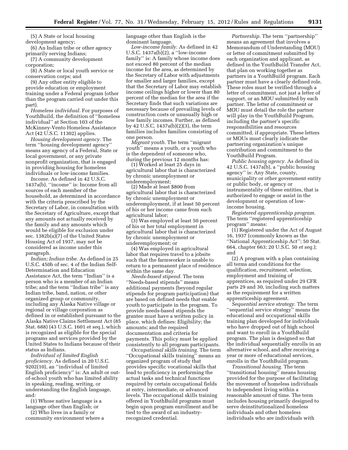(5) A State or local housing development agency;

(6) An Indian tribe or other agency primarily serving Indians;

(7) A community development corporation;

(8) A State or local youth service or conservation corps; and

(9) Any other entity eligible to provide education or employment training under a Federal program (other than the program carried out under this part).

*Homeless individual.* For purposes of YouthBuild, the definition of ''homeless individual'' at Section 103 of the McKinney-Vento Homeless Assistance Act (42 U.S.C. 11302) applies.

*Housing development agency.* The term ''housing development agency'' means any agency of a Federal, State or local government, or any private nonprofit organization, that is engaged in providing housing for homeless individuals or low-income families.

*Income.* As defined in 42 U.S.C. 1437a(b), ''income'' is: Income from all sources of each member of the household, as determined in accordance with the criteria prescribed by the Secretary of Labor, in consultation with the Secretary of Agriculture, except that any amounts not actually received by the family and any amounts which would be eligible for exclusion under sec. 1382b(a)(7) of the United States Housing Act of 1937, may not be considered as income under this paragraph.

*Indian; Indian tribe.* As defined in 25 U.S.C. 450b of sec. 4 of the Indian Self-Determination and Education Assistance Act, the term ''Indian'' is a person who is a member of an Indian tribe; and the term ''Indian tribe'' is any Indian tribe, band, nation, or other organized group or community, including any Alaska Native village or regional or village corporation as defined in or established pursuant to the Alaska Native Claims Settlement Act (85 Stat. 688) (43 U.S.C. 1601 et seq.), which is recognized as eligible for the special programs and services provided by the United States to Indians because of their status as Indians.

*Individual of limited English proficiency.* As defined in 20 U.S.C. 9202(10), an ''individual of limited English proficiency'' is: An adult or outof-school youth who has limited ability in speaking, reading, writing, or understanding the English language, and:

(1) Whose native language is a language other than English; or

(2) Who lives in a family or community environment where a language other than English is the dominant language.

*Low-income family.* As defined in 42 U.S.C. 1437a(b)(2), a ''low-income family'' is: A family whose income does not exceed 80 percent of the median income for the area, as determined by the Secretary of Labor with adjustments for smaller and larger families, except that the Secretary of Labor may establish income ceilings higher or lower than 80 percent of the median for the area if the Secretary finds that such variations are necessary because of prevailing levels of construction costs or unusually high or low family incomes. Further, as defined by 42 U.S.C. 1437a(b)(2)(3), the term families includes families consisting of one person.

*Migrant youth.* The term ''migrant youth'' means a youth, or a youth who is the dependent of someone who, during the previous 12 months has:

(1) Worked at least 25 days in agricultural labor that is characterized by chronic unemployment or underemployment;

(2) Made at least \$800 from agricultural labor that is characterized by chronic unemployment or underemployment, if at least 50 percent of his or her income came from such agricultural labor;

(3) Was employed at least 50 percent of his or her total employment in agricultural labor that is characterized by chronic unemployment or underemployment; or

(4) Was employed in agricultural labor that requires travel to a jobsite such that the farmworker is unable to return to a permanent place of residence within the same day.

*Needs-based stipend.* The term ''Needs-based stipends'' means additional payments (beyond regular stipends for program participation) that are based on defined needs that enable youth to participate in the program. To provide needs-based stipends the grantee must have a written policy in place, which defines: Eligibility; the amounts; and the required documentation and criteria for payments. This policy must be applied consistently to all program participants.

*Occupational skills training.* The term ''Occupational skills training'' means an organized program of study that provides specific vocational skills that lead to proficiency in performing the actual tasks and technical functions required by certain occupational fields at entry, intermediate, or advanced levels. The occupational skills training offered in YouthBuild programs must begin upon program enrollment and be tied to the award of an industryrecognized credential.

*Partnership.* The term ''partnership'' means an agreement that involves a Memorandum of Understanding (MOU) or letter of commitment submitted by each organization and applicant, as defined in the YouthBuild Transfer Act, that plan on working together as partners in a YouthBuild program. Each partner must have a clearly defined role. These roles must be verified through a letter of commitment, not just a letter of support, or an MOU submitted by each partner. The letter of commitment or MOU must detail the role the partner will play in the YouthBuild Program, including the partner's specific responsibilities and resources committed, if appropriate. These letters or MOUs must clearly indicate the partnering organization's unique contribution and commitment to the YouthBuild Program.

*Public housing agency.* As defined in 42 U.S.C. 1437a(b), a ''public housing agency'' is: Any State, county, municipality or other government entity or public body, or agency or instrumentality of these entities, that is authorized to engage or assist in the development or operation of lowincome housing.

*Registered apprenticeship program.*  The term ''registered apprenticeship program'' means:

(1) Registered under the Act of August 16, 1937 (commonly known as the ''National Apprenticeship Act''; 50 Stat. 664, chapter 663; 20 U.S.C. 50 *et seq.*); and

(2) A program with a plan containing all terms and conditions for the qualification, recruitment, selection, employment and training of apprentices, as required under 29 CFR parts 29 and 30, including such matters as the requirement for a written apprenticeship agreement.

*Sequential service strategy.* The term ''sequential service strategy'' means the educational and occupational skills training plan developed for individuals who have dropped out of high school and want to enroll in a YouthBuild program. The plan is designed so that the individual sequentially enrolls in an alternative school, and after receiving a year or more of educational services, enrolls in the YouthBuild program.

*Transitional housing.* The term ''transitional housing'' means housing provided for the purpose of facilitating the movement of homeless individuals to independent living within a reasonable amount of time. The term includes housing primarily designed to serve deinstitutionalized homeless individuals and other homeless individuals who are individuals with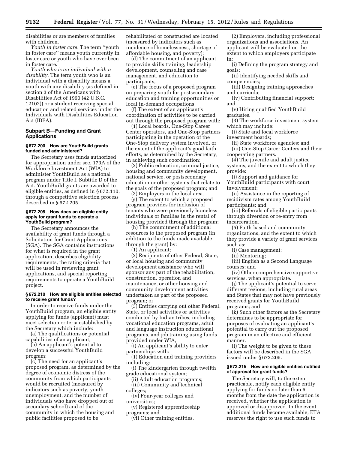disabilities or are members of families with children.

*Youth in foster care.* The term ''youth in foster care'' means youth currently in foster care or youth who have ever been in foster care.

*Youth who is an individual with a disability.* The term youth who is an individual with a disability means a youth with any disability (as defined in section 3 of the Americans with Disabilities Act of 1990 (42 U.S.C. 12102)) or a student receiving special education and related services under the Individuals with Disabilities Education Act (IDEA).

# **Subpart B—Funding and Grant Applications**

#### **§ 672.200 How are YouthBuild grants funded and administered?**

The Secretary uses funds authorized for appropriation under sec. 173A of the Workforce Investment Act (WIA) to administer YouthBuild as a national program under Title I, Subtitle D of the Act. YouthBuild grants are awarded to eligible entities, as defined in § 672.110, through a competitive selection process described in § 672.205.

#### **§ 672.205 How does an eligible entity apply for grant funds to operate a YouthBuild program?**

The Secretary announces the availability of grant funds through a Solicitation for Grant Applications (SGA). The SGA contains instructions for what is required in the grant application, describes eligibility requirements, the rating criteria that will be used in reviewing grant applications, and special reporting requirements to operate a YouthBuild project.

#### **§ 672.210 How are eligible entities selected to receive grant funds?**

In order to receive funds under the YouthBuild program, an eligible entity applying for funds (applicant) must meet selection criteria established by the Secretary which include:

(a) The qualifications or potential capabilities of an applicant;

(b) An applicant's potential to develop a successful YouthBuild program;

(c) The need for an applicant's proposed program, as determined by the degree of economic distress of the community from which participants would be recruited (measured by indicators such as poverty, youth unemployment, and the number of individuals who have dropped out of secondary school) and of the community in which the housing and public facilities proposed to be

rehabilitated or constructed are located (measured by indicators such as incidence of homelessness, shortage of affordable housing, and poverty);

(d) The commitment of an applicant to provide skills training, leadership development, counseling and case management, and education to participants;

(e) The focus of a proposed program on preparing youth for postsecondary education and training opportunities or local in-demand occupations;

(f) The extent of an applicant's coordination of activities to be carried out through the proposed program with:

(1) Local boards, One-Stop Career Center operators, and One-Stop partners participating in the operation of the One-Stop delivery system involved, or the extent of the applicant's good faith efforts, as determined by the Secretary, in achieving such coordination;

(2) Public education, criminal justice, housing and community development, national service, or postsecondary education or other systems that relate to the goals of the proposed program; and (3) Employers in the local area.

(g) The extent to which a proposed program provides for inclusion of tenants who were previously homeless individuals or families in the rental of housing provided through the program;

(h) The commitment of additional resources to the proposed program (in addition to the funds made available through the grant) by:

(1) An applicant;

(2) Recipients of other Federal, State, or local housing and community development assistance who will sponsor any part of the rehabilitation, construction, operation and maintenance, or other housing and community development activities undertaken as part of the proposed program; or

(3) Entities carrying out other Federal, State, or local activities or activities conducted by Indian tribes, including vocational education programs, adult and language instruction educational programs, and job training using funds provided under WIA,

(i) An applicant's ability to enter partnerships with:

(1) Education and training providers including:

(i) The kindergarten through twelfth grade educational system;

(ii) Adult education programs; (iii) Community and technical colleges;

(iv) Four-year colleges and universities;

(v) Registered apprenticeship programs; and

(vi) Other training entities.

(2) Employers, including professional organizations and associations. An applicant will be evaluated on the extent to which employers participate in:

(i) Defining the program strategy and goals;

(ii) Identifying needed skills and competencies;

(iii) Designing training approaches and curricula;

(iv) Contributing financial support; and

(v) Hiring qualified YouthBuild graduates.

(3) The workforce investment system which may include:

(i) State and local workforce investment boards;

(ii) State workforce agencies; and (iii) One-Stop Career Centers and their cooperating partners.

(4) The juvenile and adult justice systems, and the extent to which they provide:

(i) Support and guidance for YouthBuild participants with court involvement;

(ii) Assistance in the reporting of recidivism rates among YouthBuild participants; and

(iii) Referrals of eligible participants through diversion or re-entry from incarceration.

(5) Faith-based and community organizations, and the extent to which they provide a variety of grant services such as:

(i) Case management;

(ii) Mentoring;

(iii) English as a Second Language courses; and

(iv) Other comprehensive supportive services, when appropriate.

(j) The applicant's potential to serve different regions, including rural areas and States that may not have previously received grants for YouthBuild programs; and

(k) Such other factors as the Secretary determines to be appropriate for purposes of evaluating an applicant's potential to carry out the proposed program in an effective and efficient manner.

(l) The weight to be given to these factors will be described in the SGA issued under § 672.205.

#### **§ 672.215 How are eligible entities notified of approval for grant funds?**

The Secretary will, to the extent practicable, notify each eligible entity applying for funds no later than 5 months from the date the application is received, whether the application is approved or disapproved. In the event additional funds become available, ETA reserves the right to use such funds to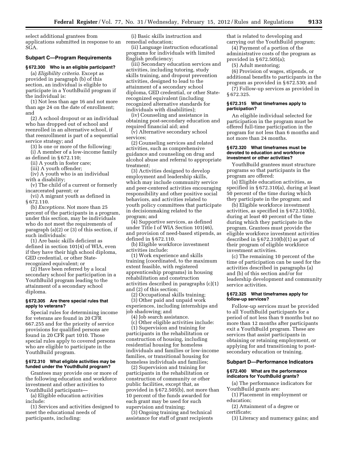select additional grantees from applications submitted in response to an remedial education; SGA.

#### **Subpart C—Program Requirements**

#### **§ 672.300 Who is an eligible participant?**

(a) *Eligibility criteria.* Except as provided in paragraph (b) of this section, an individual is eligible to participate in a YouthBuild program if the individual is:

(1) Not less than age 16 and not more than age 24 on the date of enrollment; and

(2) A school dropout or an individual who has dropped out of school and reenrolled in an alternative school, if that reenrollment is part of a sequential service strategy; and

(3) Is one or more of the following:

(i) A member of a low-income family as defined in § 672.110;

(ii) A youth in foster care;

(iii) A youth offender;

(iv) A youth who is an individual

with a disability; (v) The child of a current or formerly incarcerated parent; or

(vi) A migrant youth as defined in § 672.110.

(b) *Exceptions.* Not more than 25 percent of the participants in a program, under this section, may be individuals who do not meet the requirements of paragraph (a)(2) or (3) of this section, if such individuals:

(1) Are basic skills deficient as defined in section 101(4) of WIA, even if they have their high school diploma, GED credential, or other Staterecognized equivalent; or

(2) Have been referred by a local secondary school for participation in a YouthBuild program leading to the attainment of a secondary school diploma.

#### **§ 672.305 Are there special rules that apply to veterans?**

Special rules for determining income for veterans are found in 20 CFR 667.255 and for the priority of service provisions for qualified persons are found in 20 CFR part 1010. Those special rules apply to covered persons who are eligible to participate in the YouthBuild program.

# **§ 672.310 What eligible activities may be funded under the YouthBuild program?**

Grantees may provide one or more of the following education and workforce investment and other activities to YouthBuild participants—

(a) Eligible education activities include:

(1) Services and activities designed to meet the educational needs of participants, including:

(i) Basic skills instruction and

(ii) Language instruction educational programs for individuals with limited English proficiency;

(iii) Secondary education services and activities, including tutoring, study skills training, and dropout prevention activities, designed to lead to the attainment of a secondary school diploma, GED credential, or other Staterecognized equivalent (including recognized alternative standards for individuals with disabilities);

(iv) Counseling and assistance in obtaining post-secondary education and required financial aid; and

(v) Alternative secondary school services;

(2) Counseling services and related activities, such as comprehensive guidance and counseling on drug and alcohol abuse and referral to appropriate treatment;

(3) Activities designed to develop employment and leadership skills, which may include community service and peer-centered activities encouraging responsibility and other positive social behaviors, and activities related to youth policy committees that participate in decisionmaking related to the program; and

(4) Supportive services, as defined under Title I of WIA Section 101(46), and provision of need-based stipends, as defined in § 672.110.

(b) Eligible workforce investment activities include:

(1) Work experience and skills training (coordinated, to the maximum extent feasible, with registered apprenticeship programs) in housing rehabilitation and construction activities described in paragraphs (c)(1) and (2) of this section;

(2) Occupational skills training;

(3) Other paid and unpaid work experiences, including internships and job shadowing; and

(4) Job search assistance.

(c) Other eligible activities include: (1) Supervision and training for participants in the rehabilitation or construction of housing, including residential housing for homeless individuals and families or low-income families, or transitional housing for homeless individuals and families;

(2) Supervision and training for participants in the rehabilitation or construction of community or other public facilities, except that, as provided in § 672.505(b), not more than 10 percent of the funds awarded for each grant may be used for such supervision and training;

(3) Ongoing training and technical assistance for staff of grant recipients that is related to developing and carrying out the YouthBuild program;

(4) Payment of a portion of the administrative costs of the program as provided in § 672.505(a);

(5) Adult mentoring;

(6) Provision of wages, stipends, or additional benefits to participants in the program as provided in § 672.530; and

(7) Follow-up services as provided in § 672.325.

#### **§ 672.315 What timeframes apply to participation?**

An eligible individual selected for participation in the program must be offered full-time participation in the program for not less than 6 months and not more than 24 months.

#### **§ 672.320 What timeframes must be devoted to education and workforce investment or other activities?**

YouthBuild grantees must structure programs so that participants in the program are offered:

(a) Eligible education activities, as specified in § 672.310(a), during at least 50 percent of the time during which they participate in the program; and

(b) Eligible workforce investment activities, as specified in § 672.310(b), during at least 40 percent of the time during which they participate in the program. Grantees must provide the eligible workforce investment activities described in § 672.310(b)(1) as part of their program of eligible workforce investment activities.

(c) The remaining 10 percent of the time of participation can be used for the activities described in paragraphs (a) and (b) of this section and/or for leadership development and community service activities.

#### **§ 672.325 What timeframes apply for follow-up services?**

Follow-up services must be provided to all YouthBuild participants for a period of not less than 9 months but no more than 12 months after participants exit a YouthBuild program. These are services that assist participants in obtaining or retaining employment, or applying for and transitioning to postsecondary education or training.

# **Subpart D—Performance Indicators**

#### **§ 672.400 What are the performance indicators for YouthBuild grants?**

(a) The performance indicators for YouthBuild grants are:

(1) Placement in employment or education;

(2) Attainment of a degree or certificate;

(3) Literacy and numeracy gains; and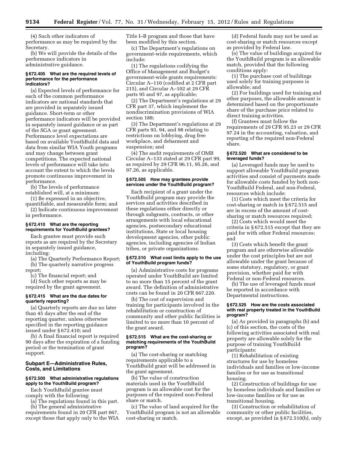(4) Such other indicators of performance as may be required by the Secretary.

(b) We will provide the details of the performance indicators in administrative guidance.

#### **§ 672.405 What are the required levels of performance for the performance indicators?**

(a) Expected levels of performance for each of the common performance indicators are national standards that are provided in separately issued guidance. Short-term or other performance indicators will be provided in separately issued guidance or as part of the SGA or grant agreement. Performance level expectations are based on available YouthBuild data and data from similar WIA Youth programs and may change between grant competitions. The expected national levels of performance will take into account the extent to which the levels promote continuous improvement in performance.

(b) The levels of performance established will, at a minimum:

(1) Be expressed in an objective, quantifiable, and measurable form; and

(2) Indicate continuous improvement in performance.

# **§ 672.410 What are the reporting requirements for YouthBuild grantees?**

Each grantee must provide such reports as are required by the Secretary in separately issued guidance, including:

(a) The Quarterly Performance Report; (b) The quarterly narrative progress

report;

(c) The financial report; and (d) Such other reports as may be required by the grant agreement.

# **§ 672.415 What are the due dates for quarterly reporting?**

(a) Quarterly reports are due no later than 45 days after the end of the reporting quarter, unless otherwise specified in the reporting guidance issued under § 672.410; and

(b) A final financial report is required 90 days after the expiration of a funding period or the termination of grant support.

# **Subpart E—Administrative Rules, Costs, and Limitations**

#### **§ 672.500 What administrative regulations apply to the YouthBuild program?**

Each YouthBuild grantee must comply with the following:

(a) The regulations found in this part.

(b) The general administrative requirements found in 20 CFR part 667, except those that apply only to the WIA Title I–B program and those that have been modified by this section.

(c) The Department's regulations on government-wide requirements, which include:

(1) The regulations codifying the Office of Management and Budget's government-wide grants requirements: Circular A–110 (codified at 2 CFR part 215), and Circular A–102 at 29 CFR parts 95 and 97, as applicable;

(2) The Department's regulations at 29 CFR part 37, which implement the nondiscrimination provisions of WIA section 188;

(3) The Department's regulations at 29 CFR parts 93, 94, and 98 relating to restrictions on lobbying, drug free workplace, and debarment and suspension; and

(4) The audit requirements of OMB Circular A–133 stated at 29 CFR part 99, as required by 29 CFR 96.11, 95.26, and 97.26, as applicable.

#### **§ 672.505 How may grantees provide services under the YouthBuild program?**

Each recipient of a grant under the YouthBuild program may provide the services and activities described in these regulations either directly or through subgrants, contracts, or other arrangements with local educational agencies, postsecondary educational institutions, State or local housing development agencies, other public agencies, including agencies of Indian tribes, or private organizations.

#### **§ 672.510 What cost limits apply to the use of YouthBuild program funds?**

(a) Administrative costs for programs operated under YouthBuild are limited to no more than 15 percent of the grant award. The definition of administrative costs can be found in 20 CFR 667.220.

(b) The cost of supervision and training for participants involved in the rehabilitation or construction of community and other public facilities is limited to no more than 10 percent of the grant award.

#### **§ 672.515 What are the cost-sharing or matching requirements of the YouthBuild program?**

(a) The cost-sharing or matching requirements applicable to a YouthBuild grant will be addressed in the grant agreement.

(b) The value of construction materials used in the YouthBuild program is an allowable cost for the purposes of the required non-Federal share or match.

(c) The value of land acquired for the YouthBuild program is not an allowable cost-sharing or match.

(d) Federal funds may not be used as cost-sharing or match resources except as provided by Federal law.

(e) The value of buildings acquired for the YouthBuild program is an allowable match, provided that the following conditions apply:

(1) The purchase cost of buildings used solely for training purposes is allowable; and

(2) For buildings used for training and other purposes, the allowable amount is determined based on the proportionate share of the purchase price related to direct training activities.

(f) Grantees must follow the requirements of 29 CFR 95.23 or 29 CFR 97.24 in the accounting, valuation, and reporting of the required non-Federal share.

## **§ 672.520 What are considered to be leveraged funds?**

(a) Leveraged funds may be used to support allowable YouthBuild program activities and consist of payments made for allowable costs funded by both non-YouthBuild Federal, and non-Federal, resources which include:

(1) Costs which meet the criteria for cost-sharing or match in § 672.515 and are in excess of the amount of costsharing or match resources required;

(2) Costs which would meet the criteria in § 672.515 except that they are paid for with other Federal resources; and

(3) Costs which benefit the grant program and are otherwise allowable under the cost principles but are not allowable under the grant because of some statutory, regulatory, or grant provision, whether paid for with Federal or non-Federal resources.

(b) The use of leveraged funds must be reported in accordance with Departmental instructions.

#### **§ 672.525 How are the costs associated with real property treated in the YouthBuild program?**

(a) As provided in paragraphs (b) and (c) of this section, the costs of the following activities associated with real property are allowable solely for the purpose of training YouthBuild participants:

(1) Rehabilitation of existing structures for use by homeless individuals and families or low-income families or for use as transitional housing.

(2) Construction of buildings for use by homeless individuals and families or low-income families or for use as transitional housing.

(3) Construction or rehabilitation of community or other public facilities, except, as provided in § 672.510(b), only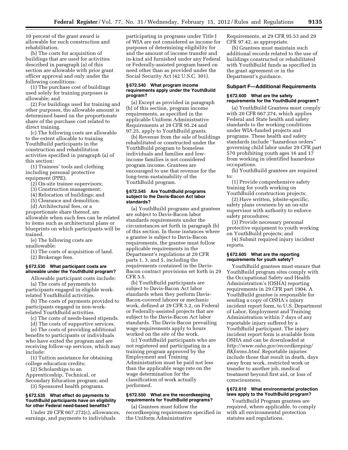10 percent of the grant award is allowable for such construction and rehabilitation.

(b) The costs for acquisition of buildings that are used for activities described in paragraph (a) of this section are allowable with prior grant officer approval and only under the following conditions:

(1) The purchase cost of buildings used solely for training purposes is allowable; and

(2) For buildings used for training and other purposes, the allowable amount is determined based on the proportionate share of the purchase cost related to direct training.

(c) The following costs are allowable to the extent allocable to training YouthBuild participants in the construction and rehabilitation activities specified in paragraph (a) of this section:

(1) Trainees' tools and clothing including personal protective equipment (PPE);

(2) On-site trainee supervisors;

(3) Construction management;

(4) Relocation of buildings; and

(5) Clearance and demolition.

(d) Architectural fees, or a proportionate share thereof, are allowable when such fees can be related to items such as architectural plans or blueprints on which participants will be trained.

(e) The following costs are unallowable:

(1) The costs of acquisition of land. (2) Brokerage fees.

#### **§ 672.530 What participant costs are allowable under the YouthBuild program?**

Allowable participant costs include:

(a) The costs of payments to participants engaged in eligible workrelated YouthBuild activities.

(b) The costs of payments provided to participants engaged in non-workrelated YouthBuild activities.

(c) The costs of needs-based stipends.

(d) The costs of supportive services.

(e) The costs of providing additional benefits to participants or individuals who have exited the program and are receiving follow-up services, which may include:

(1) Tuition assistance for obtaining college education credits;

(2) Scholarships to an

Apprenticeship, Technical, or Secondary Education program; and (3) Sponsored health programs.

# **§ 672.535 What effect do payments to YouthBuild participants have on eligibility for other Federal need-based benefits?**

Under 20 CFR 667.272(c), allowances, earnings, and payments to individuals

participating in programs under Title I of WIA are not considered as income for purposes of determining eligibility for and the amount of income transfer and in-kind aid furnished under any Federal or Federally-assisted program based on need other than as provided under the Social Security Act (42 U.S.C. 301).

#### **§ 672.540 What program income requirements apply under the YouthBuild program?**

(a) Except as provided in paragraph (b) of this section, program income requirements, as specified in the applicable Uniform Administrative Requirements at 29 CFR 95.24 and 97.25, apply to YouthBuild grants.

(b) Revenue from the sale of buildings rehabilitated or constructed under the YouthBuild program to homeless individuals and families and lowincome families is not considered program income. Grantees are encouraged to use that revenue for the long-term sustainability of the YouthBuild program.

#### **§ 672.545 Are YouthBuild programs subject to the Davis-Bacon Act labor standards?**

(a) YouthBuild programs and grantees are subject to Davis-Bacon labor standards requirements under the circumstances set forth in paragraph (b) of this section. In those instances where a grantee is subject to Davis-Bacon requirements, the grantee must follow applicable requirements in the Department's regulations at 29 CFR parts 1, 3, and 5, including the requirements contained in the Davis-Bacon contract provisions set forth in 29 CFR 5.5.

(b) YouthBuild participants are subject to Davis-Bacon Act labor standards when they perform Davis-Bacon-covered laborer or mechanic work, defined at 29 CFR 5.2, on Federal or Federally-assisted projects that are subject to the Davis-Bacon Act labor standards. The Davis-Bacon prevailing wage requirements apply to hours worked on the site of the work.

(c) YouthBuild participants who are not registered and participating in a training program approved by the Employment and Training Administration must be paid not less than the applicable wage rate on the wage determination for the classification of work actually performed.

#### **§ 672.550 What are the recordkeeping requirements for YouthBuild programs?**

(a) Grantees must follow the recordkeeping requirements specified in the Uniform Administrative

Requirements, at 29 CFR 95.53 and 29 CFR 97.42, as appropriate.

(b) Grantees must maintain such additional records related to the use of buildings constructed or rehabilitated with YouthBuild funds as specified in the grant agreement or in the Department's guidance.

# **Subpart F—Additional Requirements**

#### **§ 672.600 What are the safety requirements for the YouthBuild program?**

(a) YouthBuild Grantees must comply with 20 CFR 667.274, which applies Federal and State health and safety standards to the working conditions under WIA-funded projects and programs. These health and safety standards include ''hazardous orders'' governing child labor under 29 CFR part 570 prohibiting youth ages 16 and 17 from working in identified hazardous occupations.

(b) YouthBuild grantees are required to:

(1) Provide comprehensive safety training for youth working on YouthBuild construction projects;

(2) Have written, jobsite-specific, safety plans overseen by an on-site supervisor with authority to enforce safety procedures;

(3) Provide necessary personal protective equipment to youth working on YouthBuild projects; and

(4) Submit required injury incident reports.

# **§ 672.605 What are the reporting requirements for youth safety?**

YouthBuild grantees must ensure that YouthBuild program sites comply with the Occupational Safety and Health Administration's (OSHA) reporting requirements in 29 CFR part 1904. A YouthBuild grantee is responsible for sending a copy of OSHA's injury incident report form, to U.S. Department of Labor, Employment and Training Administration within 7 days of any reportable injury suffered by a YouthBuild participant. The injury incident report form is available from OSHA and can be downloaded at *[http://www.osha.gov/recordkeeping/](http://www.osha.gov/recordkeeping/RKforms.html)  [RKforms.html.](http://www.osha.gov/recordkeeping/RKforms.html)* Reportable injuries include those that result in death, days away from work, restricted work or transfer to another job, medical treatment beyond first aid, or loss of consciousness.

# **§ 672.610 What environmental protection laws apply to the YouthBuild program?**

YouthBuild Program grantees are required, where applicable, to comply with all environmental protection statutes and regulations.